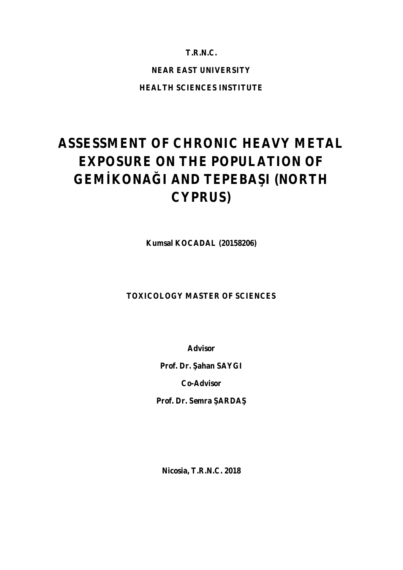## **T.R.N.C.**

# **NEAR EAST UNIVERSITY**

**HEALTH SCIENCES INSTITUTE**

# **ASSESSMENT OF CHRONIC HEAVY METAL EXPOSURE ON THE POPULATION OF GEM KONA I AND TEPEBA I (NORTH CYPRUS)**

**Kumsal KOCADAL (20158206)**

## **TOXICOLOGY MASTER OF SCIENCES**

**Advisor**

**Prof. Dr.** ahan **SAYGI** 

**Co-Advisor**

Prof. Dr. Semra **ARDA** 

**Nicosia, T.R.N.C. 2018**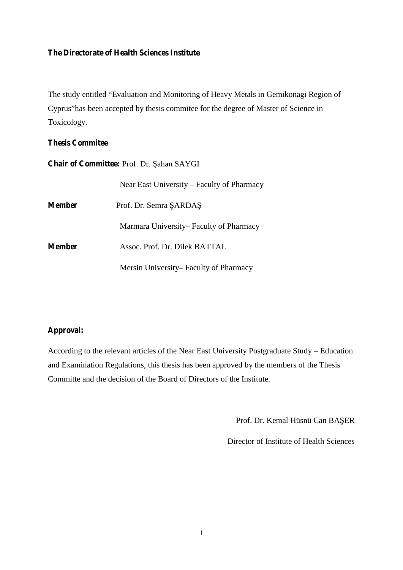# **The Directorate of Health Sciences Institute**

The study entitled "Evaluation and Monitoring of Heavy Metals in Gemikonagi Region of Cyprus"has been accepted by thesis commitee for the degree of Master of Science in Toxicology.

### **Thesis Commitee**

**Chair of Committee: Prof. Dr. ahan SAYGI** 

|               | Near East University – Faculty of Pharmacy |
|---------------|--------------------------------------------|
| <b>Member</b> | Prof. Dr. Semra ARDA                       |
|               | Marmara University– Faculty of Pharmacy    |
| <b>Member</b> | Assoc. Prof. Dr. Dilek BATTAL              |
|               | Mersin University– Faculty of Pharmacy     |

### **Approval:**

According to the relevant articles of the Near East University Postgraduate Study – Education and Examination Regulations, this thesis has been approved by the members of the Thesis Committe and the decision of the Board of Directors of the Institute.

Prof. Dr. Kemal Hüsnü Can BA ER

Director of Institute of Health Sciences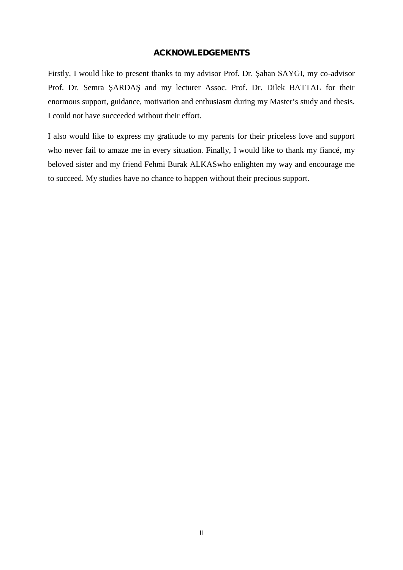### **ACKNOWLEDGEMENTS**

Firstly, I would like to present thanks to my advisor Prof. Dr. ahan SAYGI, my co-advisor Prof. Dr. Semra ARDA and my lecturer Assoc. Prof. Dr. Dilek BATTAL for their enormous support, guidance, motivation and enthusiasm during my Master's study and thesis. I could not have succeeded without their effort.

I also would like to express my gratitude to my parents for their priceless love and support who never fail to amaze me in every situation. Finally, I would like to thank my fiancé, my beloved sister and my friend Fehmi Burak ALKASwho enlighten my way and encourage me to succeed. My studies have no chance to happen without their precious support.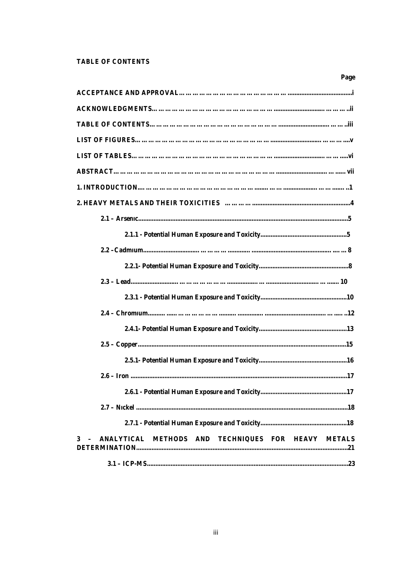### **TABLE OF CONTENTS**

| Page                                                   |
|--------------------------------------------------------|
|                                                        |
|                                                        |
|                                                        |
|                                                        |
|                                                        |
|                                                        |
|                                                        |
|                                                        |
|                                                        |
|                                                        |
|                                                        |
|                                                        |
|                                                        |
|                                                        |
|                                                        |
|                                                        |
|                                                        |
|                                                        |
| .17<br>$2.6 -$ Iron                                    |
|                                                        |
|                                                        |
|                                                        |
| 3 - ANALYTICAL METHODS AND TECHNIQUES FOR HEAVY METALS |
|                                                        |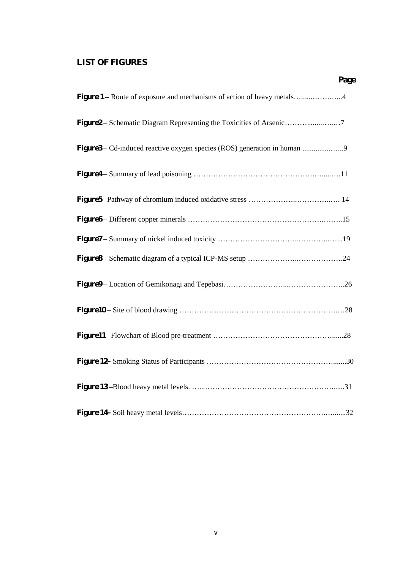# **LIST OF FIGURES**

|                                                                        | Page |
|------------------------------------------------------------------------|------|
| Figure 1 – Route of exposure and mechanisms of action of heavy metals4 |      |
|                                                                        |      |
| Figure3 – Cd-induced reactive oxygen species (ROS) generation in human |      |
|                                                                        |      |
|                                                                        |      |
|                                                                        |      |
|                                                                        |      |
|                                                                        |      |
|                                                                        |      |
|                                                                        |      |
|                                                                        |      |
|                                                                        |      |
|                                                                        |      |
|                                                                        |      |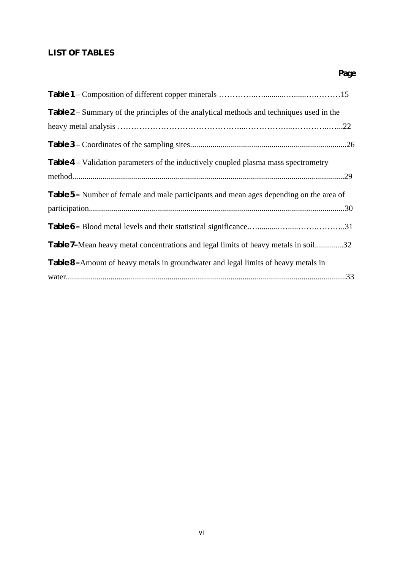# **LIST OF TABLES**

| <b>Table 2</b> – Summary of the principles of the analytical methods and techniques used in the |  |
|-------------------------------------------------------------------------------------------------|--|
|                                                                                                 |  |
|                                                                                                 |  |
| Table 4 – Validation parameters of the inductively coupled plasma mass spectrometry             |  |
| <b>Table 5</b> – Number of female and male participants and mean ages depending on the area of  |  |
|                                                                                                 |  |
| Table 7–Mean heavy metal concentrations and legal limits of heavy metals in soil32              |  |
| <b>Table 8</b> - Amount of heavy metals in groundwater and legal limits of heavy metals in      |  |
|                                                                                                 |  |

**Page**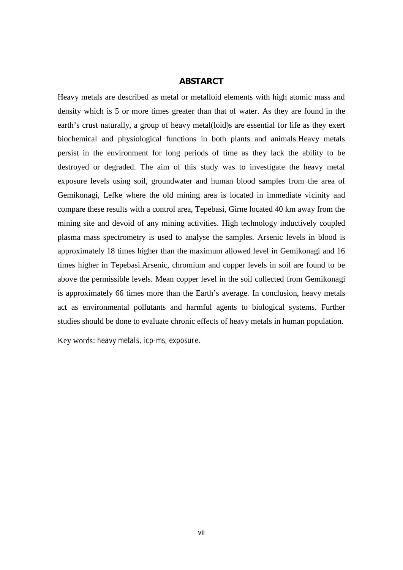### **ABSTARCT**

Heavy metals are described as metal or metalloid elements with high atomic mass and density which is 5 or more times greater than that of water. As they are found in the earth's crust naturally, a group of heavy metal(loid)s are essential for life as they exert biochemical and physiological functions in both plants and animals.Heavy metals persist in the environment for long periods of time as they lack the ability to be destroyed or degraded. The aim of this study was to investigate the heavy metal exposure levels using soil, groundwater and human blood samples from the area of Gemikonagi, Lefke where the old mining area is located in immediate vicinity and compare these results with a control area, Tepebasi, Girne located 40 km away from the mining site and devoid of any mining activities. High technology inductively coupled plasma mass spectrometry is used to analyse the samples. Arsenic levels in blood is approximately 18 times higher than the maximum allowed level in Gemikonagi and 16 times higher in Tepebasi.Arsenic, chromium and copper levels in soil are found to be above the permissible levels. Mean copper level in the soil collected from Gemikonagi is approximately 66 times more than the Earth's average. In conclusion, heavy metals act as environmental pollutants and harmful agents to biological systems. Further studies should be done to evaluate chronic effects of heavy metals in human population.

Key words: *heavy metals, icp-ms, exposure.*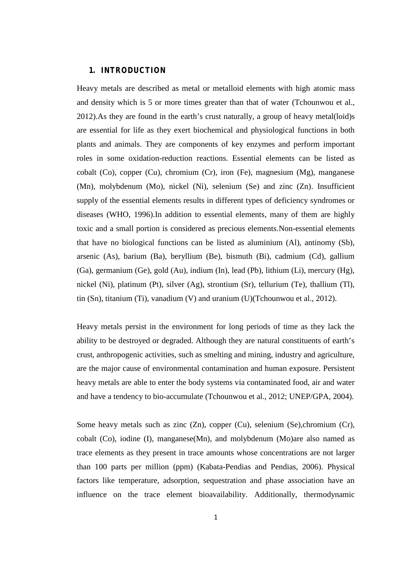### **1. INTRODUCTION**

Heavy metals are described as metal or metalloid elements with high atomic mass and density which is 5 or more times greater than that of water (Tchounwou et al., 2012).As they are found in the earth's crust naturally, a group of heavy metal(loid)s are essential for life as they exert biochemical and physiological functions in both plants and animals. They are components of key enzymes and perform important roles in some oxidation-reduction reactions. Essential elements can be listed as cobalt (Co), copper (Cu), chromium (Cr), iron (Fe), magnesium (Mg), manganese (Mn), molybdenum (Mo), nickel (Ni), selenium (Se) and zinc (Zn). Insufficient supply of the essential elements results in different types of deficiency syndromes or diseases (WHO, 1996).In addition to essential elements, many of them are highly toxic and a small portion is considered as precious elements.Non-essential elements that have no biological functions can be listed as aluminium (Al), antinomy (Sb), arsenic (As), barium (Ba), beryllium (Be), bismuth (Bi), cadmium (Cd), gallium (Ga), germanium (Ge), gold (Au), indium (In), lead (Pb), lithium (Li), mercury (Hg), nickel (Ni), platinum (Pt), silver (Ag), strontium (Sr), tellurium (Te), thallium (Tl), tin (Sn), titanium (Ti), vanadium (V) and uranium (U)(Tchounwou et al., 2012).

Heavy metals persist in the environment for long periods of time as they lack the ability to be destroyed or degraded. Although they are natural constituents of earth's crust, anthropogenic activities, such as smelting and mining, industry and agriculture, are the major cause of environmental contamination and human exposure. Persistent heavy metals are able to enter the body systems via contaminated food, air and water and have a tendency to bio-accumulate (Tchounwou et al., 2012; UNEP/GPA, 2004).

Some heavy metals such as zinc (Zn), copper (Cu), selenium (Se),chromium (Cr), cobalt (Co), iodine (I), manganese(Mn), and molybdenum (Mo)are also named as trace elements as they present in trace amounts whose concentrations are not larger than 100 parts per million (ppm) (Kabata-Pendias and Pendias, 2006). Physical factors like temperature, adsorption, sequestration and phase association have an influence on the trace element bioavailability. Additionally, thermodynamic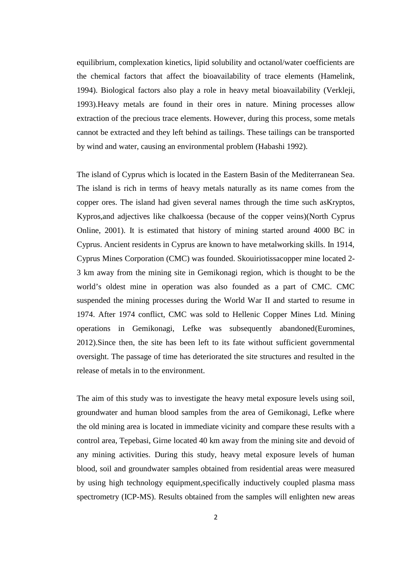equilibrium, complexation kinetics, lipid solubility and octanol/water coefficients are the chemical factors that affect the bioavailability of trace elements (Hamelink, 1994). Biological factors also play a role in heavy metal bioavailability (Verkleji, 1993).Heavy metals are found in their ores in nature. Mining processes allow extraction of the precious trace elements. However, during this process, some metals cannot be extracted and they left behind as tailings. These tailings can be transported by wind and water, causing an environmental problem (Habashi 1992).

The island of Cyprus which is located in the Eastern Basin of the Mediterranean Sea. The island is rich in terms of heavy metals naturally as its name comes from the copper ores. The island had given several names through the time such asKryptos, Kypros,and adjectives like chalkoessa (because of the copper veins)(North Cyprus Online, 2001). It is estimated that history of mining started around 4000 BC in Cyprus. Ancient residents in Cyprus are known to have metalworking skills. In 1914, Cyprus Mines Corporation (CMC) was founded. Skouiriotissacopper mine located 2- 3 km away from the mining site in Gemikonagi region, which is thought to be the world's oldest mine in operation was also founded as a part of CMC. CMC suspended the mining processes during the World War II and started to resume in 1974. After 1974 conflict, CMC was sold to Hellenic Copper Mines Ltd. Mining operations in Gemikonagi, Lefke was subsequently abandoned(Euromines, 2012).Since then, the site has been left to its fate without sufficient governmental oversight. The passage of time has deteriorated the site structures and resulted in the release of metals in to the environment.

The aim of this study was to investigate the heavy metal exposure levels using soil, groundwater and human blood samples from the area of Gemikonagi, Lefke where the old mining area is located in immediate vicinity and compare these results with a control area, Tepebasi, Girne located 40 km away from the mining site and devoid of any mining activities. During this study, heavy metal exposure levels of human blood, soil and groundwater samples obtained from residential areas were measured by using high technology equipment,specifically inductively coupled plasma mass spectrometry (ICP-MS). Results obtained from the samples will enlighten new areas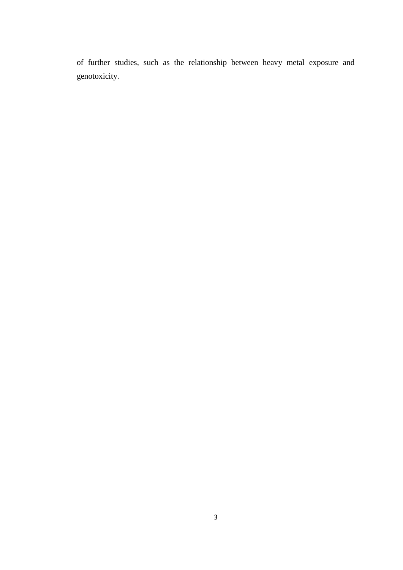of further studies, such as the relationship between heavy metal exposure and genotoxicity.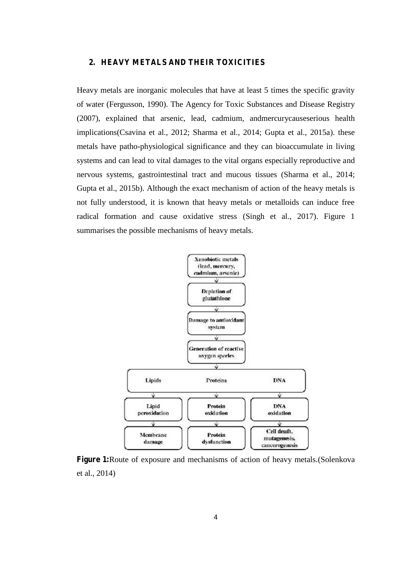### **2. HEAVY METALS AND THEIR TOXICITIES**

Heavy metals are inorganic molecules that have at least 5 times the specific gravity of water (Fergusson, 1990). The Agency for Toxic Substances and Disease Registry (2007), explained that arsenic, lead, cadmium, andmercurycauseserious health implications(Csavina et al., 2012; Sharma et al., 2014; Gupta et al., 2015a). these metals have patho-physiological significance and they can bioaccumulate in living systems and can lead to vital damages to the vital organs especially reproductive and nervous systems, gastrointestinal tract and mucous tissues (Sharma et al., 2014; Gupta et al., 2015b). Although the exact mechanism of action of the heavy metals is not fully understood, it is known that heavy metals or metalloids can induce free radical formation and cause oxidative stress (Singh et al., 2017). Figure 1 summarises the possible mechanisms of heavy metals.



**Figure 1:**Route of exposure and mechanisms of action of heavy metals.(Solenkova et al., 2014)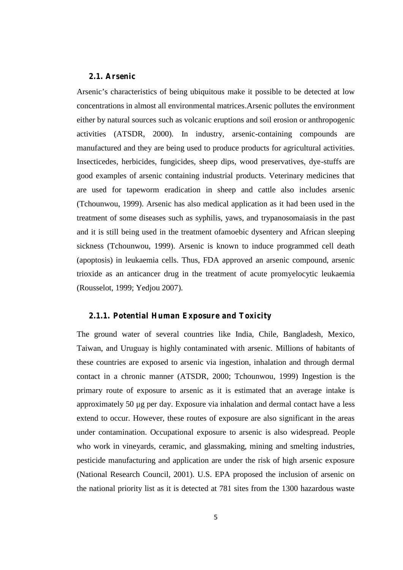### **2.1. Arsenic**

Arsenic's characteristics of being ubiquitous make it possible to be detected at low concentrations in almost all environmental matrices.Arsenic pollutes the environment either by natural sources such as volcanic eruptions and soil erosion or anthropogenic activities (ATSDR, 2000). In industry, arsenic-containing compounds are manufactured and they are being used to produce products for agricultural activities. Insecticedes, herbicides, fungicides, sheep dips, wood preservatives, dye-stuffs are good examples of arsenic containing industrial products. Veterinary medicines that are used for tapeworm eradication in sheep and cattle also includes arsenic (Tchounwou, 1999). Arsenic has also medical application as it had been used in the treatment of some diseases such as syphilis, yaws, and trypanosomaiasis in the past and it is still being used in the treatment ofamoebic dysentery and African sleeping sickness (Tchounwou, 1999). Arsenic is known to induce programmed cell death (apoptosis) in leukaemia cells. Thus, FDA approved an arsenic compound, arsenic trioxide as an anticancer drug in the treatment of acute promyelocytic leukaemia (Rousselot, 1999; Yedjou 2007).

### **2.1.1. Potential Human Exposure and Toxicity**

The ground water of several countries like India, Chile, Bangladesh, Mexico, Taiwan, and Uruguay is highly contaminated with arsenic. Millions of habitants of these countries are exposed to arsenic via ingestion, inhalation and through dermal contact in a chronic manner (ATSDR, 2000; Tchounwou, 1999) Ingestion is the primary route of exposure to arsenic as it is estimated that an average intake is approximately 50 μg per day. Exposure via inhalation and dermal contact have a less extend to occur. However, these routes of exposure are also significant in the areas under contamination. Occupational exposure to arsenic is also widespread. People who work in vineyards, ceramic, and glassmaking, mining and smelting industries, pesticide manufacturing and application are under the risk of high arsenic exposure (National Research Council, 2001). U.S. EPA proposed the inclusion of arsenic on the national priority list as it is detected at 781 sites from the 1300 hazardous waste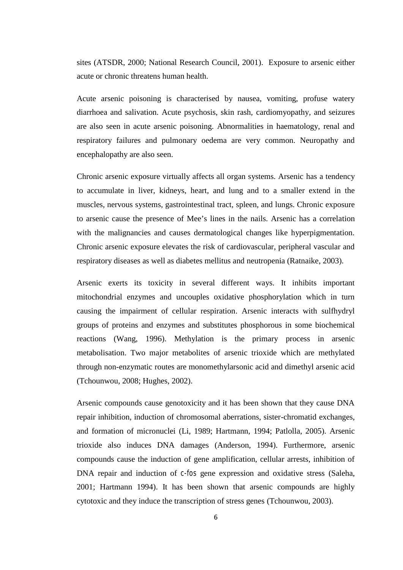sites (ATSDR, 2000; National Research Council, 2001). Exposure to arsenic either acute or chronic threatens human health.

Acute arsenic poisoning is characterised by nausea, vomiting, profuse watery diarrhoea and salivation. Acute psychosis, skin rash, cardiomyopathy, and seizures are also seen in acute arsenic poisoning. Abnormalities in haematology, renal and respiratory failures and pulmonary oedema are very common. Neuropathy and encephalopathy are also seen.

Chronic arsenic exposure virtually affects all organ systems. Arsenic has a tendency to accumulate in liver, kidneys, heart, and lung and to a smaller extend in the muscles, nervous systems, gastrointestinal tract, spleen, and lungs. Chronic exposure to arsenic cause the presence of Mee's lines in the nails. Arsenic has a correlation with the malignancies and causes dermatological changes like hyperpigmentation. Chronic arsenic exposure elevates the risk of cardiovascular, peripheral vascular and respiratory diseases as well as diabetes mellitus and neutropenia (Ratnaike, 2003).

Arsenic exerts its toxicity in several different ways. It inhibits important mitochondrial enzymes and uncouples oxidative phosphorylation which in turn causing the impairment of cellular respiration. Arsenic interacts with sulfhydryl groups of proteins and enzymes and substitutes phosphorous in some biochemical reactions (Wang, 1996). Methylation is the primary process in arsenic metabolisation. Two major metabolites of arsenic trioxide which are methylated through non-enzymatic routes are monomethylarsonic acid and dimethyl arsenic acid (Tchounwou, 2008; Hughes, 2002).

Arsenic compounds cause genotoxicity and it has been shown that they cause DNA repair inhibition, induction of chromosomal aberrations, sister-chromatid exchanges, and formation of micronuclei (Li, 1989; Hartmann, 1994; Patlolla, 2005). Arsenic trioxide also induces DNA damages (Anderson, 1994). Furthermore, arsenic compounds cause the induction of gene amplification, cellular arrests, inhibition of DNA repair and induction of *c-fos* gene expression and oxidative stress (Saleha, 2001; Hartmann 1994). It has been shown that arsenic compounds are highly cytotoxic and they induce the transcription of stress genes (Tchounwou, 2003).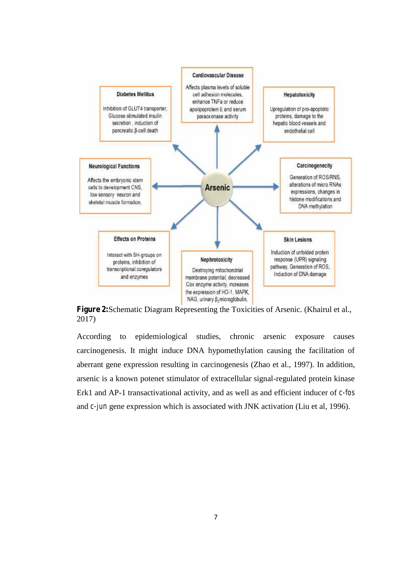

**Figure 2:**Schematic Diagram Representing the Toxicities of Arsenic. (Khairul et al., 2017)

According to epidemiological studies, chronic arsenic exposure causes carcinogenesis. It might induce DNA hypomethylation causing the facilitation of aberrant gene expression resulting in carcinogenesis (Zhao et al., 1997). In addition, arsenic is a known potenet stimulator of extracellular signal-regulated protein kinase Erk1 and AP-1 transactivational activity, and as well as and efficient inducer of *c-fos* and *c-jun* gene expression which is associated with JNK activation (Liu et al, 1996).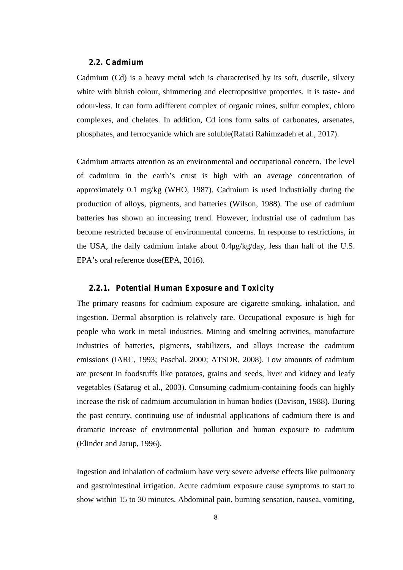### **2.2. Cadmium**

Cadmium (Cd) is a heavy metal wich is characterised by its soft, dusctile, silvery white with bluish colour, shimmering and electropositive properties. It is taste- and odour-less. It can form adifferent complex of organic mines, sulfur complex, chloro complexes, and chelates. In addition, Cd ions form salts of carbonates, arsenates, phosphates, and ferrocyanide which are soluble(Rafati Rahimzadeh et al., 2017).

Cadmium attracts attention as an environmental and occupational concern. The level of cadmium in the earth's crust is high with an average concentration of approximately 0.1 mg/kg (WHO, 1987). Cadmium is used industrially during the production of alloys, pigments, and batteries (Wilson, 1988). The use of cadmium batteries has shown an increasing trend. However, industrial use of cadmium has become restricted because of environmental concerns. In response to restrictions, in the USA, the daily cadmium intake about 0.4μg/kg/day, less than half of the U.S. EPA's oral reference dose(EPA, 2016).

### **2.2.1. Potential Human Exposure and Toxicity**

The primary reasons for cadmium exposure are cigarette smoking, inhalation, and ingestion. Dermal absorption is relatively rare. Occupational exposure is high for people who work in metal industries. Mining and smelting activities, manufacture industries of batteries, pigments, stabilizers, and alloys increase the cadmium emissions (IARC, 1993; Paschal, 2000; ATSDR, 2008). Low amounts of cadmium are present in foodstuffs like potatoes, grains and seeds, liver and kidney and leafy vegetables (Satarug et al., 2003). Consuming cadmium-containing foods can highly increase the risk of cadmium accumulation in human bodies (Davison, 1988). During the past century, continuing use of industrial applications of cadmium there is and dramatic increase of environmental pollution and human exposure to cadmium (Elinder and Jarup, 1996).

Ingestion and inhalation of cadmium have very severe adverse effects like pulmonary and gastrointestinal irrigation. Acute cadmium exposure cause symptoms to start to show within 15 to 30 minutes. Abdominal pain, burning sensation, nausea, vomiting,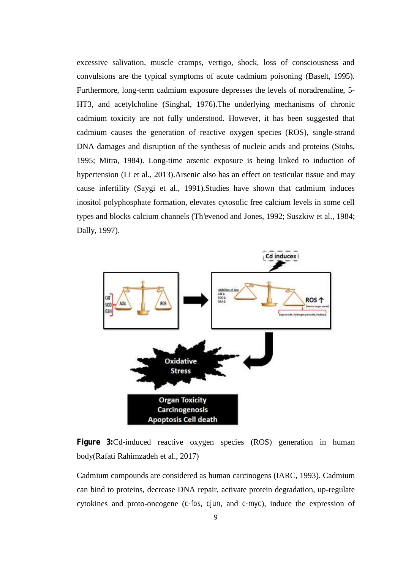excessive salivation, muscle cramps, vertigo, shock, loss of consciousness and convulsions are the typical symptoms of acute cadmium poisoning (Baselt, 1995). Furthermore, long-term cadmium exposure depresses the levels of noradrenaline, 5- HT3, and acetylcholine (Singhal, 1976).The underlying mechanisms of chronic cadmium toxicity are not fully understood. However, it has been suggested that cadmium causes the generation of reactive oxygen species (ROS), single-strand DNA damages and disruption of the synthesis of nucleic acids and proteins (Stohs, 1995; Mitra, 1984). Long-time arsenic exposure is being linked to induction of hypertension (Li et al., 2013).Arsenic also has an effect on testicular tissue and may cause infertility (Saygi et al., 1991).Studies have shown that cadmium induces inositol polyphosphate formation, elevates cytosolic free calcium levels in some cell types and blocks calcium channels (Th'evenod and Jones, 1992; Suszkiw et al., 1984; Dally, 1997).



**Figure 3:**Cd-induced reactive oxygen species (ROS) generation in human body(Rafati Rahimzadeh et al., 2017)

Cadmium compounds are considered as human carcinogens (IARC, 1993). Cadmium can bind to proteins, decrease DNA repair, activate protein degradation, up-regulate cytokines and proto-oncogene (*c-fos, cjun*, and *c-myc*), induce the expression of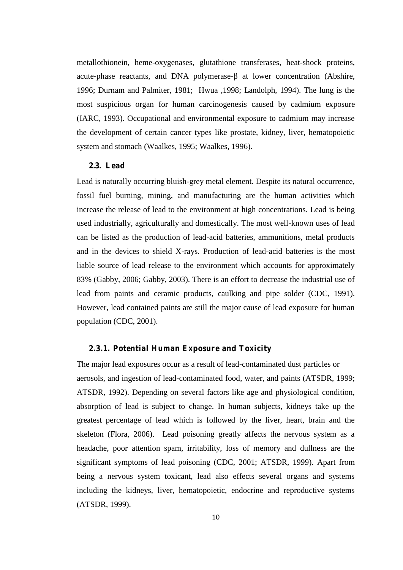metallothionein, heme-oxygenases, glutathione transferases, heat-shock proteins, acute-phase reactants, and DNA polymerase- at lower concentration (Abshire, 1996; Durnam and Palmiter, 1981; Hwua ,1998; Landolph, 1994). The lung is the most suspicious organ for human carcinogenesis caused by cadmium exposure (IARC, 1993). Occupational and environmental exposure to cadmium may increase the development of certain cancer types like prostate, kidney, liver, hematopoietic system and stomach (Waalkes, 1995; Waalkes, 1996).

### **2.3. Lead**

Lead is naturally occurring bluish-grey metal element. Despite its natural occurrence, fossil fuel burning, mining, and manufacturing are the human activities which increase the release of lead to the environment at high concentrations. Lead is being used industrially, agriculturally and domestically. The most well-known uses of lead can be listed as the production of lead-acid batteries, ammunitions, metal products and in the devices to shield X-rays. Production of lead-acid batteries is the most liable source of lead release to the environment which accounts for approximately 83% (Gabby, 2006; Gabby, 2003). There is an effort to decrease the industrial use of lead from paints and ceramic products, caulking and pipe solder (CDC, 1991). However, lead contained paints are still the major cause of lead exposure for human population (CDC, 2001).

### **2.3.1. Potential Human Exposure and Toxicity**

The major lead exposures occur as a result of lead-contaminated dust particles or aerosols, and ingestion of lead-contaminated food, water, and paints (ATSDR, 1999; ATSDR, 1992). Depending on several factors like age and physiological condition, absorption of lead is subject to change. In human subjects, kidneys take up the greatest percentage of lead which is followed by the liver, heart, brain and the skeleton (Flora, 2006). Lead poisoning greatly affects the nervous system as a headache, poor attention spam, irritability, loss of memory and dullness are the significant symptoms of lead poisoning (CDC, 2001; ATSDR, 1999). Apart from being a nervous system toxicant, lead also effects several organs and systems including the kidneys, liver, hematopoietic, endocrine and reproductive systems (ATSDR, 1999).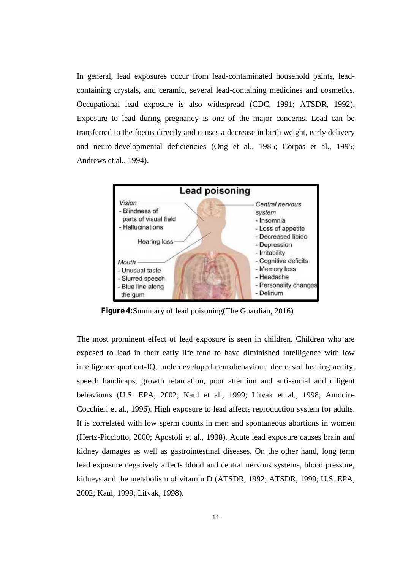In general, lead exposures occur from lead-contaminated household paints, lead containing crystals, and ceramic, several lead-containing medicines and cosmetics. Occupational lead exposure is also widespread (CDC, 1991; ATSDR, 1992). Exposure to lead during pregnancy is one of the major concerns. Lead can be transferred to the foetus directly and causes a decrease in birth weight, early delivery and neuro-developmental deficiencies (Ong et al., 1985; Corpas et al., 1995; Andrews et al., 1994).



**Figure 4:**Summary of lead poisoning(The Guardian, 2016)

The most prominent effect of lead exposure is seen in children. Children who are exposed to lead in their early life tend to have diminished intelligence with low intelligence quotient-IQ, underdeveloped neurobehaviour, decreased hearing acuity, speech handicaps, growth retardation, poor attention and anti-social and diligent behaviours (U.S. EPA, 2002; Kaul et al., 1999; Litvak et al., 1998; Amodio- Cocchieri et al., 1996). High exposure to lead affects reproduction system for adults. It is correlated with low sperm counts in men and spontaneous abortions in women (Hertz-Picciotto, 2000; Apostoli et al., 1998). Acute lead exposure causes brain and kidney damages as well as gastrointestinal diseases. On the other hand, long term lead exposure negatively affects blood and central nervous systems, blood pressure, kidneys and the metabolism of vitamin D (ATSDR, 1992; ATSDR, 1999; U.S. EPA, 2002; Kaul, 1999; Litvak, 1998).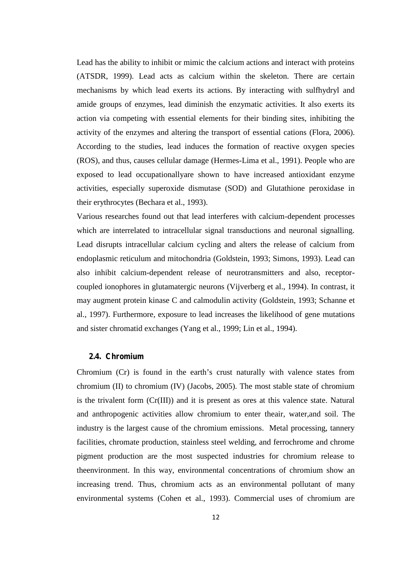Lead has the ability to inhibit or mimic the calcium actions and interact with proteins (ATSDR, 1999). Lead acts as calcium within the skeleton. There are certain mechanisms by which lead exerts its actions. By interacting with sulfhydryl and amide groups of enzymes, lead diminish the enzymatic activities. It also exerts its action via competing with essential elements for their binding sites, inhibiting the activity of the enzymes and altering the transport of essential cations (Flora, 2006). According to the studies, lead induces the formation of reactive oxygen species (ROS), and thus, causes cellular damage (Hermes-Lima et al., 1991). People who are exposed to lead occupationallyare shown to have increased antioxidant enzyme activities, especially superoxide dismutase (SOD) and Glutathione peroxidase in their erythrocytes (Bechara et al., 1993).

Various researches found out that lead interferes with calcium-dependent processes which are interrelated to intracellular signal transductions and neuronal signalling. Lead disrupts intracellular calcium cycling and alters the release of calcium from endoplasmic reticulum and mitochondria (Goldstein, 1993; Simons, 1993). Lead can also inhibit calcium-dependent release of neurotransmitters and also, receptor coupled ionophores in glutamatergic neurons (Vijverberg et al., 1994). In contrast, it may augment protein kinase C and calmodulin activity (Goldstein, 1993; Schanne et al., 1997). Furthermore, exposure to lead increases the likelihood of gene mutations and sister chromatid exchanges (Yang et al., 1999; Lin et al., 1994).

### **2.4. Chromium**

Chromium (Cr) is found in the earth's crust naturally with valence states from chromium (II) to chromium (IV) (Jacobs, 2005). The most stable state of chromium is the trivalent form (Cr(III)) and it is present as ores at this valence state. Natural and anthropogenic activities allow chromium to enter theair, water,and soil. The industry is the largest cause of the chromium emissions. Metal processing, tannery facilities, chromate production, stainless steel welding, and ferrochrome and chrome pigment production are the most suspected industries for chromium release to theenvironment. In this way, environmental concentrations of chromium show an increasing trend. Thus, chromium acts as an environmental pollutant of many environmental systems (Cohen et al., 1993). Commercial uses of chromium are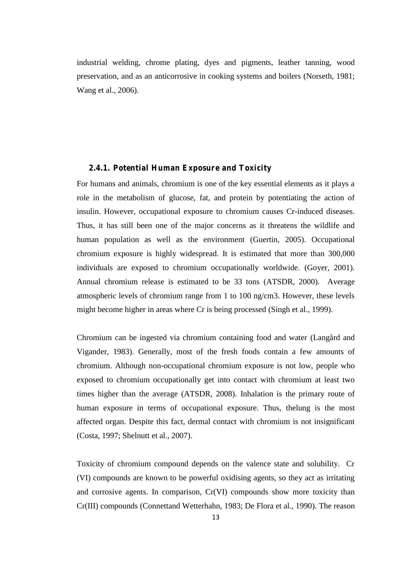industrial welding, chrome plating, dyes and pigments, leather tanning, wood preservation, and as an anticorrosive in cooking systems and boilers (Norseth, 1981; Wang et al., 2006).

### **2.4.1. Potential Human Exposure and Toxicity**

For humans and animals, chromium is one of the key essential elements as it plays a role in the metabolism of glucose, fat, and protein by potentiating the action of insulin. However, occupational exposure to chromium causes Cr-induced diseases. Thus, it has still been one of the major concerns as it threatens the wildlife and human population as well as the environment (Guertin, 2005). Occupational chromium exposure is highly widespread. It is estimated that more than 300,000 individuals are exposed to chromium occupationally worldwide. (Goyer, 2001). Annual chromium release is estimated to be 33 tons (ATSDR, 2000). Average atmospheric levels of chromium range from 1 to 100 ng/cm3. However, these levels might become higher in areas where Cr is being processed (Singh et al., 1999).

Chromium can be ingested via chromium containing food and water (Langård and Vigander, 1983). Generally, most of the fresh foods contain a few amounts of chromium. Although non-occupational chromium exposure is not low, people who exposed to chromium occupationally get into contact with chromium at least two times higher than the average (ATSDR, 2008). Inhalation is the primary route of human exposure in terms of occupational exposure. Thus, thelung is the most affected organ. Despite this fact, dermal contact with chromium is not insignificant (Costa, 1997; Shelnutt et al., 2007).

Toxicity of chromium compound depends on the valence state and solubility. Cr (VI) compounds are known to be powerful oxidising agents, so they act as irritating and corrosive agents. In comparison, Cr(VI) compounds show more toxicity than Cr(III) compounds (Connettand Wetterhahn, 1983; De Flora et al., 1990). The reason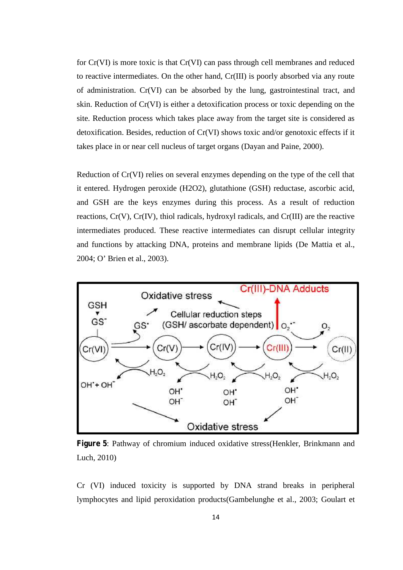for Cr(VI) is more toxic is that Cr(VI) can pass through cell membranes and reduced to reactive intermediates. On the other hand, Cr(III) is poorly absorbed via any route of administration. Cr(VI) can be absorbed by the lung, gastrointestinal tract, and skin. Reduction of Cr(VI) is either a detoxification process or toxic depending on the site. Reduction process which takes place away from the target site is considered as detoxification. Besides, reduction of Cr(VI) shows toxic and/or genotoxic effects if it takes place in or near cell nucleus of target organs (Dayan and Paine, 2000).

Reduction of Cr(VI) relies on several enzymes depending on the type of the cell that it entered. Hydrogen peroxide (H2O2), glutathione (GSH) reductase, ascorbic acid, and GSH are the keys enzymes during this process. As a result of reduction reactions,  $Cr(V)$ ,  $Cr(V)$ , thiol radicals, hydroxyl radicals, and  $Cr(III)$  are the reactive intermediates produced. These reactive intermediates can disrupt cellular integrity and functions by attacking DNA, proteins and membrane lipids (De Mattia et al., 2004; O' Brien et al., 2003).



**Figure 5**: Pathway of chromium induced oxidative stress(Henkler, Brinkmann and Luch, 2010)

Cr (VI) induced toxicity is supported by DNA strand breaks in peripheral lymphocytes and lipid peroxidation products(Gambelunghe et al., 2003; Goulart et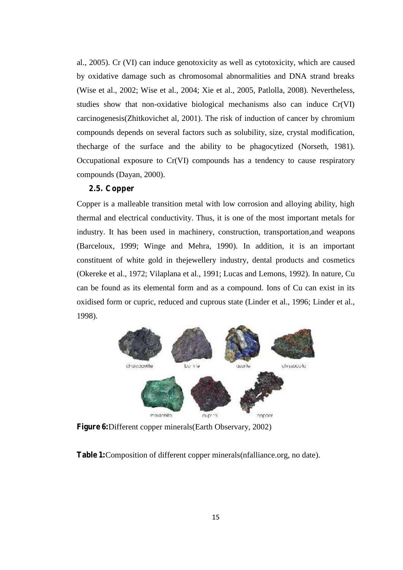al., 2005). Cr (VI) can induce genotoxicity as well as cytotoxicity, which are caused by oxidative damage such as chromosomal abnormalities and DNA strand breaks (Wise et al., 2002; Wise et al., 2004; Xie et al., 2005, Patlolla, 2008). Nevertheless, studies show that non-oxidative biological mechanisms also can induce Cr(VI) carcinogenesis(Zhitkovichet al, 2001). The risk of induction of cancer by chromium compounds depends on several factors such as solubility, size, crystal modification, thecharge of the surface and the ability to be phagocytized (Norseth, 1981). Occupational exposure to Cr(VI) compounds has a tendency to cause respiratory compounds (Dayan, 2000).

### **2.5. Copper**

Copper is a malleable transition metal with low corrosion and alloying ability, high thermal and electrical conductivity. Thus, it is one of the most important metals for industry. It has been used in machinery, construction, transportation,and weapons (Barceloux, 1999; Winge and Mehra, 1990). In addition, it is an important constituent of white gold in thejewellery industry, dental products and cosmetics (Okereke et al., 1972; Vilaplana et al., 1991; Lucas and Lemons, 1992). In nature, Cu can be found as its elemental form and as a compound. Ions of Cu can exist in its oxidised form or cupric, reduced and cuprous state (Linder et al., 1996; Linder et al., 1998).



**Figure 6:**Different copper minerals(Earth Observary, 2002)

**Table 1:**Composition of different copper minerals(nfalliance.org, no date).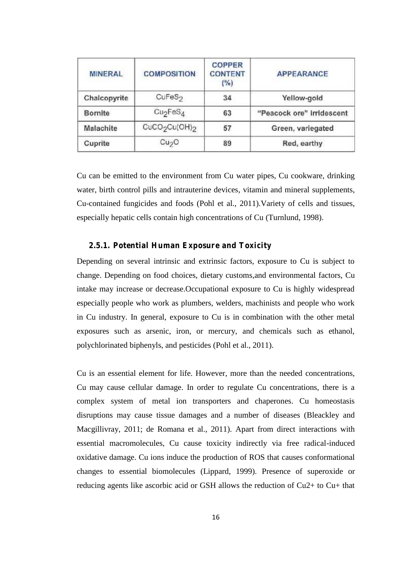| <b>MINERAL</b> | <b>COMPOSITION</b>                    | <b>COPPER</b><br><b>CONTENT</b><br>(%) | <b>APPEARANCE</b>         |
|----------------|---------------------------------------|----------------------------------------|---------------------------|
| Chalcopyrite   | CuFeS <sub>2</sub>                    | 34                                     | Yellow-gold               |
| <b>Bornite</b> | Cu <sub>2</sub> FeS <sub>4</sub>      | 63                                     | "Peacock ore" irridescent |
| Malachite      | CuCO <sub>2</sub> Cu(OH) <sub>2</sub> | 57                                     | Green, variegated         |
| Cuprite        | Cu <sub>2</sub> O                     | 89                                     | Red, earthy               |

Cu can be emitted to the environment from Cu water pipes, Cu cookware, drinking water, birth control pills and intrauterine devices, vitamin and mineral supplements, Cu-contained fungicides and foods (Pohl et al., 2011).Variety of cells and tissues, especially hepatic cells contain high concentrations of Cu (Turnlund, 1998).

### **2.5.1. Potential Human Exposure and Toxicity**

Depending on several intrinsic and extrinsic factors, exposure to Cu is subject to change. Depending on food choices, dietary customs,and environmental factors, Cu intake may increase or decrease.Occupational exposure to Cu is highly widespread especially people who work as plumbers, welders, machinists and people who work in Cu industry. In general, exposure to Cu is in combination with the other metal exposures such as arsenic, iron, or mercury, and chemicals such as ethanol, polychlorinated biphenyls, and pesticides (Pohl et al., 2011).

Cu is an essential element for life. However, more than the needed concentrations, Cu may cause cellular damage. In order to regulate Cu concentrations, there is a complex system of metal ion transporters and chaperones. Cu homeostasis disruptions may cause tissue damages and a number of diseases (Bleackley and Macgillivray, 2011; de Romana et al., 2011). Apart from direct interactions with essential macromolecules, Cu cause toxicity indirectly via free radical-induced oxidative damage. Cu ions induce the production of ROS that causes conformational changes to essential biomolecules (Lippard, 1999). Presence of superoxide or reducing agents like ascorbic acid or GSH allows the reduction of Cu2+ to Cu+ that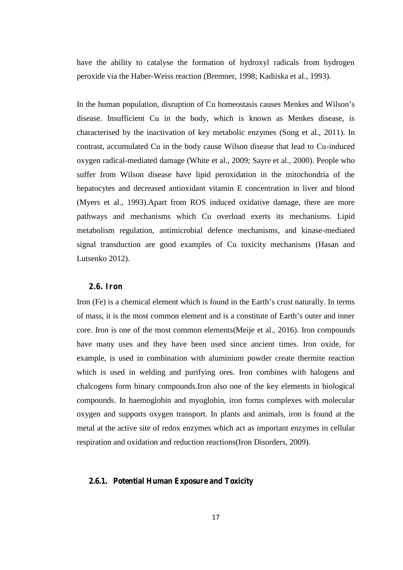have the ability to catalyse the formation of hydroxyl radicals from hydrogen peroxide via the Haber-Weiss reaction (Bremner, 1998; Kadiiska et al., 1993).

In the human population, disruption of Cu homeostasis causes Menkes and Wilson's disease. Insufficient Cu in the body, which is known as Menkes disease, is characterised by the inactivation of key metabolic enzymes (Song et al., 2011). In contrast, accumulated Cu in the body cause Wilson disease that lead to Cu-induced oxygen radical-mediated damage (White et al., 2009; Sayre et al., 2000). People who suffer from Wilson disease have lipid peroxidation in the mitochondria of the hepatocytes and decreased antioxidant vitamin E concentration in liver and blood (Myers et al., 1993).Apart from ROS induced oxidative damage, there are more pathways and mechanisms which Cu overload exerts its mechanisms. Lipid metabolism regulation, antimicrobial defence mechanisms, and kinase-mediated signal transduction are good examples of Cu toxicity mechanisms (Hasan and Lutsenko 2012).

### **2.6. Iron**

Iron (Fe) is a chemical element which is found in the Earth's crust naturally. In terms of mass, it is the most common element and is a constitute of Earth's outer and inner core. Iron is one of the most common elements(Meije et al., 2016). Iron compounds have many uses and they have been used since ancient times. Iron oxide, for example, is used in combination with aluminium powder create thermite reaction which is used in welding and purifying ores. Iron combines with halogens and chalcogens form binary compounds.Iron also one of the key elements in biological compounds. In haemoglobin and myoglobin, iron forms complexes with molecular oxygen and supports oxygen transport. In plants and animals, iron is found at the metal at the active site of redox enzymes which act as important enzymes in cellular respiration and oxidation and reduction reactions(Iron Disorders, 2009).

### **2.6.1. Potential Human Exposure and Toxicity**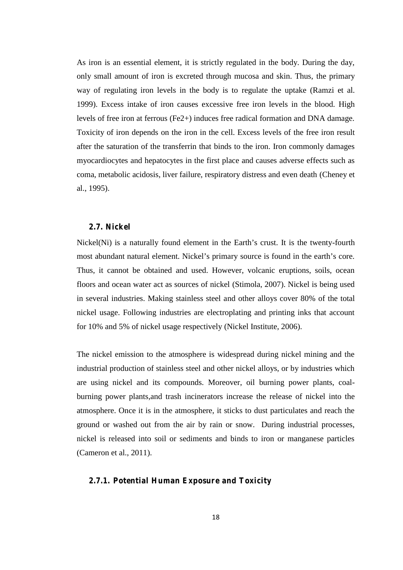As iron is an essential element, it is strictly regulated in the body. During the day, only small amount of iron is excreted through mucosa and skin. Thus, the primary way of regulating iron levels in the body is to regulate the uptake (Ramzi et al. 1999). Excess intake of iron causes excessive free iron levels in the blood. High levels of free iron at ferrous (Fe2+) induces free radical formation and DNA damage. Toxicity of iron depends on the iron in the cell. Excess levels of the free iron result after the saturation of the transferrin that binds to the iron. Iron commonly damages myocardiocytes and hepatocytes in the first place and causes adverse effects such as coma, metabolic acidosis, liver failure, respiratory distress and even death (Cheney et al., 1995).

### **2.7. Nickel**

Nickel(Ni) is a naturally found element in the Earth's crust. It is the twenty-fourth most abundant natural element. Nickel's primary source is found in the earth's core. Thus, it cannot be obtained and used. However, volcanic eruptions, soils, ocean floors and ocean water act as sources of nickel (Stimola, 2007). Nickel is being used in several industries. Making stainless steel and other alloys cover 80% of the total nickel usage. Following industries are electroplating and printing inks that account for 10% and 5% of nickel usage respectively (Nickel Institute, 2006).

The nickel emission to the atmosphere is widespread during nickel mining and the industrial production of stainless steel and other nickel alloys, or by industries which are using nickel and its compounds. Moreover, oil burning power plants, coal burning power plants,and trash incinerators increase the release of nickel into the atmosphere. Once it is in the atmosphere, it sticks to dust particulates and reach the ground or washed out from the air by rain or snow. During industrial processes, nickel is released into soil or sediments and binds to iron or manganese particles (Cameron et al., 2011).

### **2.7.1. Potential Human Exposure and Toxicity**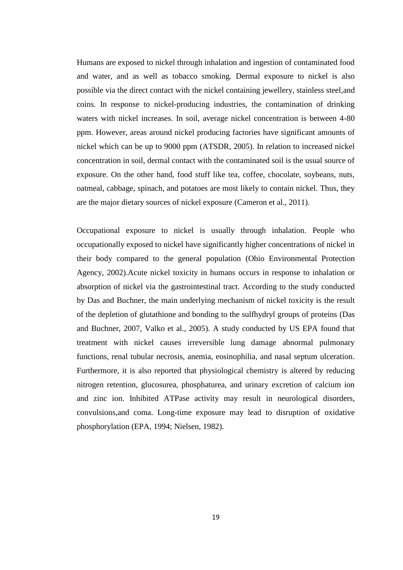Humans are exposed to nickel through inhalation and ingestion of contaminated food and water, and as well as tobacco smoking. Dermal exposure to nickel is also possible via the direct contact with the nickel containing jewellery, stainless steel,and coins. In response to nickel-producing industries, the contamination of drinking waters with nickel increases. In soil, average nickel concentration is between 4-80 ppm. However, areas around nickel producing factories have significant amounts of nickel which can be up to 9000 ppm (ATSDR, 2005). In relation to increased nickel concentration in soil, dermal contact with the contaminated soil is the usual source of exposure. On the other hand, food stuff like tea, coffee, chocolate, soybeans, nuts, oatmeal, cabbage, spinach, and potatoes are most likely to contain nickel. Thus, they are the major dietary sources of nickel exposure (Cameron et al., 2011).

Occupational exposure to nickel is usually through inhalation. People who occupationally exposed to nickel have significantly higher concentrations of nickel in their body compared to the general population (Ohio Environmental Protection Agency, 2002).Acute nickel toxicity in humans occurs in response to inhalation or absorption of nickel via the gastrointestinal tract. According to the study conducted by Das and Buchner, the main underlying mechanism of nickel toxicity is the result of the depletion of glutathione and bonding to the sulfhydryl groups of proteins (Das and Buchner, 2007, Valko et al., 2005). A study conducted by US EPA found that treatment with nickel causes irreversible lung damage abnormal pulmonary functions, renal tubular necrosis, anemia, eosinophilia, and nasal septum ulceration. Furthermore, it is also reported that physiological chemistry is altered by reducing nitrogen retention, glucosurea, phosphaturea, and urinary excretion of calcium ion and zinc ion. Inhibited ATPase activity may result in neurological disorders, convulsions,and coma. Long-time exposure may lead to disruption of oxidative phosphorylation (EPA, 1994; Nielsen, 1982).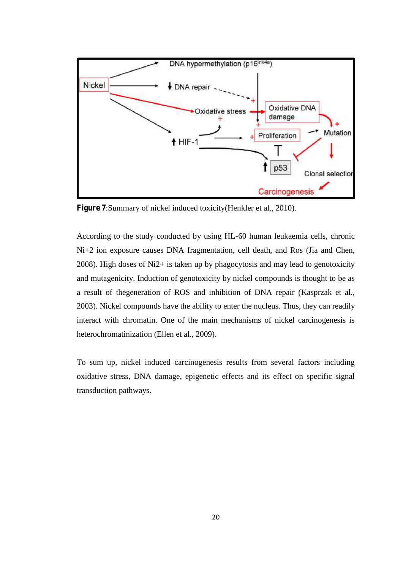

**Figure 7**:Summary of nickel induced toxicity(Henkler et al., 2010).

According to the study conducted by using HL-60 human leukaemia cells, chronic Ni+2 ion exposure causes DNA fragmentation, cell death, and Ros (Jia and Chen, 2008). High doses of Ni2+ is taken up by phagocytosis and may lead to genotoxicity and mutagenicity. Induction of genotoxicity by nickel compounds is thought to be as a result of thegeneration of ROS and inhibition of DNA repair (Kasprzak et al., 2003). Nickel compounds have the ability to enter the nucleus. Thus, they can readily interact with chromatin. One of the main mechanisms of nickel carcinogenesis is heterochromatinization (Ellen et al., 2009).

To sum up, nickel induced carcinogenesis results from several factors including oxidative stress, DNA damage, epigenetic effects and its effect on specific signal transduction pathways.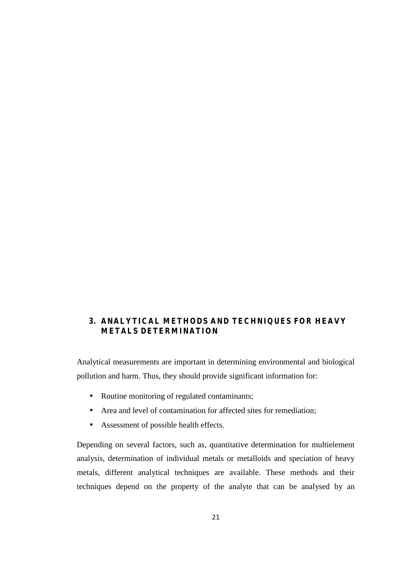### **3. ANALYTICAL METHODS AND TECHNIQUES FOR HEAVY METALS DETERMINATION**

Analytical measurements are important in determining environmental and biological pollution and harm. Thus, they should provide significant information for:

- Routine monitoring of regulated contaminants;
- Area and level of contamination for affected sites for remediation;
- Assessment of possible health effects.

Depending on several factors, such as, quantitative determination for multielement analysis, determination of individual metals or metalloids and speciation of heavy metals, different analytical techniques are available. These methods and their techniques depend on the property of the analyte that can be analysed by an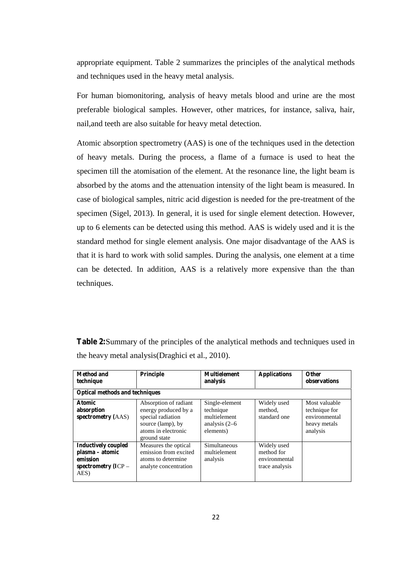appropriate equipment. Table 2 summarizes the principles of the analytical methods and techniques used in the heavy metal analysis.

For human biomonitoring, analysis of heavy metals blood and urine are the most preferable biological samples. However, other matrices, for instance, saliva, hair, nail,and teeth are also suitable for heavy metal detection.

Atomic absorption spectrometry (AAS) is one of the techniques used in the detection of heavy metals. During the process, a flame of a furnace is used to heat the specimen till the atomisation of the element. At the resonance line, the light beam is absorbed by the atoms and the attenuation intensity of the light beam is measured. In case of biological samples, nitric acid digestion is needed for the pre-treatment of the specimen (Sigel, 2013). In general, it is used for single element detection. However, up to 6 elements can be detected using this method. AAS is widely used and it is the standard method for single element analysis. One major disadvantage of the AAS is that it is hard to work with solid samples. During the analysis, one element at a time can be detected. In addition, AAS is a relatively more expensive than the than techniques.

| <b>Table 2:</b> Summary of the principles of the analytical methods and techniques used in |
|--------------------------------------------------------------------------------------------|
| the heavy metal analysis (Draghici et al., 2010).                                          |

| Method and<br>technique                                                                    | Principle                                                                                                                      | <b>Multielement</b><br>analysis                                              | <b>Applications</b>                                          | <b>Other</b><br>observations                                                |
|--------------------------------------------------------------------------------------------|--------------------------------------------------------------------------------------------------------------------------------|------------------------------------------------------------------------------|--------------------------------------------------------------|-----------------------------------------------------------------------------|
| <b>Optical methods and techniques</b>                                                      |                                                                                                                                |                                                                              |                                                              |                                                                             |
| <b>Atomic</b><br>absorption<br>spectrometry (AAS)                                          | Absorption of radiant<br>energy produced by a<br>special radiation<br>source (lamp), by<br>atoms in electronic<br>ground state | Single-element<br>technique<br>multielement<br>analysis $(2-6)$<br>elements) | Widely used<br>method.<br>standard one                       | Most valuable<br>technique for<br>environmental<br>heavy metals<br>analysis |
| <b>Inductively coupled</b><br>plasma – atomic<br>emission<br>spectrometry $(ICP -$<br>AES) | Measures the optical<br>emission from excited<br>atoms to determine<br>analyte concentration                                   | Simultaneous<br>multielement<br>analysis                                     | Widely used<br>method for<br>environmental<br>trace analysis |                                                                             |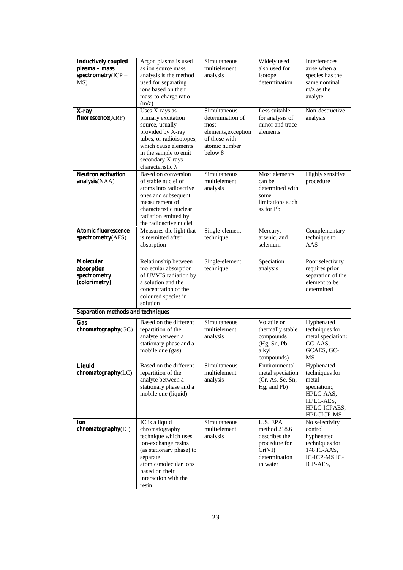| <b>Inductively coupled</b><br>plasma - mass<br>spectrometry(ICP -<br>MS) | Argon plasma is used<br>as ion source mass<br>analysis is the method<br>used for separating<br>ions based on their<br>mass-to-charge ratio<br>(m/z)                                                 | Simultaneous<br>multielement<br>analysis                                                                     | Widely used<br>also used for<br>isotope<br>determination                                          | Interferences<br>arise when a<br>species has the<br>same nominal<br>$m/z$ as the<br>analyte                   |
|--------------------------------------------------------------------------|-----------------------------------------------------------------------------------------------------------------------------------------------------------------------------------------------------|--------------------------------------------------------------------------------------------------------------|---------------------------------------------------------------------------------------------------|---------------------------------------------------------------------------------------------------------------|
| X-ray<br>fluorescence(XRF)                                               | Uses X-rays as<br>primary excitation<br>source, usually<br>provided by X-ray<br>tubes, or radioisotopes,<br>which cause elements<br>in the sample to emit<br>secondary X-rays<br>characteristic     | Simultaneous<br>determination of<br>most<br>elements, exception<br>of those with<br>atomic number<br>below 8 | Less suitable<br>for analysis of<br>minor and trace<br>elements                                   | Non-destructive<br>analysis                                                                                   |
| <b>Neutron activation</b><br>analysis(NAA)                               | Based on conversion<br>of stable nuclei of<br>atoms into radioactive<br>ones and subsequent<br>measurement of<br>characteristic nuclear<br>radiation emitted by<br>the radioactive nuclei           | Simultaneous<br>multielement<br>analysis                                                                     | Most elements<br>can be<br>determined with<br>some<br>limitations such<br>as for Pb               | Highly sensitive<br>procedure                                                                                 |
| <b>Atomic fluorescence</b><br>spectrometry(AFS)                          | Measures the light that<br>is reemitted after<br>absorption                                                                                                                                         | Single-element<br>technique                                                                                  | Mercury,<br>arsenic, and<br>selenium                                                              | Complementary<br>technique to<br>AAS                                                                          |
| Molecular<br>absorption<br>spectrometry<br>(colorimetry)                 | Relationship between<br>molecular absorption<br>of UVVIS radiation by<br>a solution and the<br>concentration of the<br>coloured species in<br>solution                                              | Single-element<br>technique                                                                                  | Speciation<br>analysis                                                                            | Poor selectivity<br>requires prior<br>separation of the<br>element to be<br>determined                        |
| Separation methods and techniques                                        |                                                                                                                                                                                                     |                                                                                                              |                                                                                                   |                                                                                                               |
| Gas<br>chromatography(GC)                                                | Based on the different<br>repartition of the<br>analyte between a<br>stationary phase and a<br>mobile one (gas)                                                                                     | Simultaneous<br>multielement<br>analysis                                                                     | Volatile or<br>thermally stable<br>compounds<br>(Hg, Sn, Pb<br>alkyl<br>compounds)                | Hyphenated<br>techniques for<br>metal speciation:<br>GC-AAS,<br>GCAES, GC-<br>MS                              |
| Liquid<br>chromatography(LC)                                             | Based on the different<br>repartition of the<br>analyte between a<br>stationary phase and a<br>mobile one (liquid)                                                                                  | Simultaneous<br>multielement<br>analysis                                                                     | Environmental<br>metal speciation<br>(Cr, As, Se, Sn,<br>Hg, and Pb)                              | Hyphenated<br>techniques for<br>metal<br>speciation:,<br>HPLC-AAS,<br>HPLC-AES,<br>HPLC-ICPAES,<br>HPLCICP-MS |
| Ion<br>chromatography(IC)                                                | IC is a liquid<br>chromatography<br>technique which uses<br>ion-exchange resins<br>(as stationary phase) to<br>separate<br>atomic/molecular ions<br>based on their<br>interaction with the<br>resin | Simultaneous<br>multielement<br>analysis                                                                     | U.S. EPA<br>method 218.6<br>describes the<br>procedure for<br>Cr(VI)<br>determination<br>in water | No selectivity<br>control<br>hyphenated<br>techniques for<br>148 IC-AAS,<br>IC-ICP-MS IC-<br>ICP-AES,         |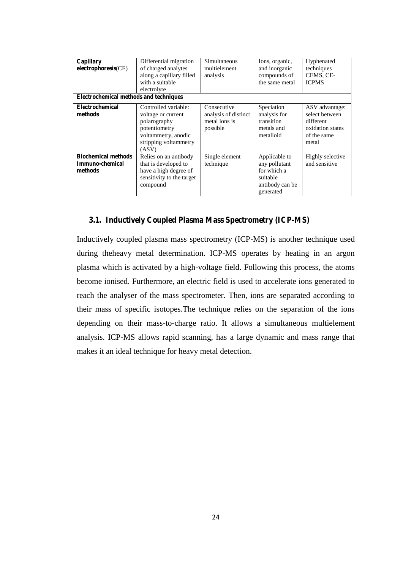| Capillary<br>electrophoresis(CE)<br><b>Electrochemical methods and techniques</b> | Differential migration<br>of charged analytes<br>along a capillary filled<br>with a suitable<br>electrolyte                          | Simultaneous<br>multielement<br>analysis                         | Ions, organic,<br>and inorganic<br>compounds of<br>the same metal                         | Hyphenated<br>techniques<br>CEMS, CE-<br><b>ICPMS</b>                                     |
|-----------------------------------------------------------------------------------|--------------------------------------------------------------------------------------------------------------------------------------|------------------------------------------------------------------|-------------------------------------------------------------------------------------------|-------------------------------------------------------------------------------------------|
| Electrochemical<br>methods                                                        | Controlled variable:<br>voltage or current<br>polarography<br>potentiometry<br>voltammetry, anodic<br>stripping voltammetry<br>(ASV) | Consecutive<br>analysis of distinct<br>metal ions is<br>possible | Speciation<br>analysis for<br>transition<br>metals and<br>metalloid                       | ASV advantage:<br>select between<br>different<br>oxidation states<br>of the same<br>metal |
| <b>Biochemical methods</b><br>Immuno-chemical<br>methods                          | Relies on an antibody<br>that is developed to<br>have a high degree of<br>sensitivity to the target<br>compound                      | Single element<br>technique                                      | Applicable to<br>any pollutant<br>for which a<br>suitable<br>antibody can be<br>generated | Highly selective<br>and sensitive                                                         |

### **3.1. Inductively Coupled Plasma Mass Spectrometry (ICP-MS)**

Inductively coupled plasma mass spectrometry (ICP-MS) is another technique used during theheavy metal determination. ICP-MS operates by heating in an argon plasma which is activated by a high-voltage field. Following this process, the atoms become ionised. Furthermore, an electric field is used to accelerate ions generated to reach the analyser of the mass spectrometer. Then, ions are separated according to their mass of specific isotopes.The technique relies on the separation of the ions depending on their mass-to-charge ratio. It allows a simultaneous multielement analysis. ICP-MS allows rapid scanning, has a large dynamic and mass range that makes it an ideal technique for heavy metal detection.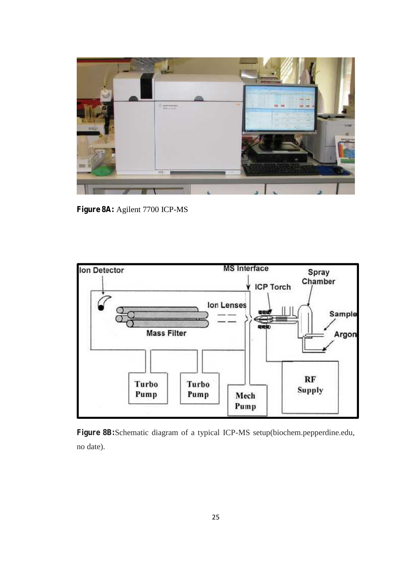

**Figure 8A:** Agilent 7700 ICP-MS



**Figure 8B:**Schematic diagram of a typical ICP-MS setup(biochem.pepperdine.edu, no date).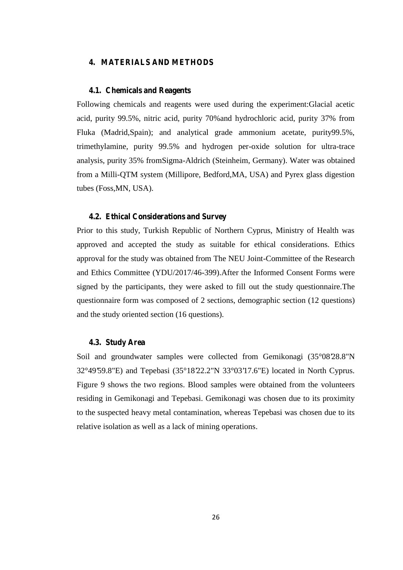### **4. MATERIALS AND METHODS**

### **4.1. Chemicals and Reagents**

Following chemicals and reagents were used during the experiment:Glacial acetic acid, purity 99.5%, nitric acid, purity 70%and hydrochloric acid, purity 37% from Fluka (Madrid,Spain); and analytical grade ammonium acetate, purity99.5%, trimethylamine, purity 99.5% and hydrogen per-oxide solution for ultra-trace analysis, purity 35% fromSigma-Aldrich (Steinheim, Germany). Water was obtained from a Milli-QTM system (Millipore, Bedford,MA, USA) and Pyrex glass digestion tubes (Foss,MN, USA).

### **4.2. Ethical Considerations and Survey**

Prior to this study, Turkish Republic of Northern Cyprus, Ministry of Health was approved and accepted the study as suitable for ethical considerations. Ethics approval for the study was obtained from The NEU Joint-Committee of the Research and Ethics Committee (YDU/2017/46-399).After the Informed Consent Forms were signed by the participants, they were asked to fill out the study questionnaire.The questionnaire form was composed of 2 sections, demographic section (12 questions) and the study oriented section (16 questions).

### **4.3. Study Area**

Soil and groundwater samples were collected from Gemikonagi (35°08'28.8"N 32°49'59.8"E) and Tepebasi (35°18'22.2"N 33°03'17.6"E) located in North Cyprus. Figure 9 shows the two regions. Blood samples were obtained from the volunteers residing in Gemikonagi and Tepebasi. Gemikonagi was chosen due to its proximity to the suspected heavy metal contamination, whereas Tepebasi was chosen due to its relative isolation as well as a lack of mining operations.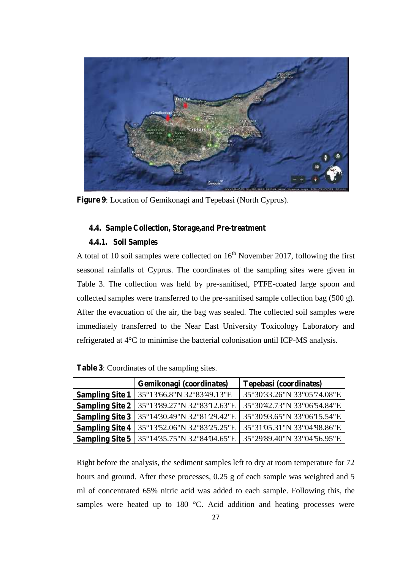

**Figure 9**: Location of Gemikonagi and Tepebasi (North Cyprus).

### **4.4. Sample Collection, Storage,and Pre-treatment**

### **4.4.1. Soil Samples**

A total of 10 soil samples were collected on  $16<sup>th</sup>$  November 2017, following the first seasonal rainfalls of Cyprus. The coordinates of the sampling sites were given in Table 3. The collection was held by pre-sanitised, PTFE-coated large spoon and collected samples were transferred to the pre-sanitised sample collection bag (500 g). After the evacuation of the air, the bag was sealed. The collected soil samples were immediately transferred to the Near East University Toxicology Laboratory and refrigerated at 4°C to minimise the bacterial colonisation until ICP-MS analysis.

|                        | Gemikonagi (coordinates)                                                                                                                                                                                      | <b>Tepebasi (coordinates)</b> |  |
|------------------------|---------------------------------------------------------------------------------------------------------------------------------------------------------------------------------------------------------------|-------------------------------|--|
| <b>Sampling Site 1</b> | 35°13'66.8"N 32°83'49.13"E                                                                                                                                                                                    | 35°30'33.26"N 33°05'74.08"E   |  |
| <b>Sampling Site 2</b> | 35°13'89.27"N 32°83'12.63"E   35°30'42.73"N 33°06'54.84"E                                                                                                                                                     |                               |  |
| <b>Sampling Site 3</b> | 35°14'30.49"N 32°81'29.42"E   35°30'93.65"N 33°06'15.54"E                                                                                                                                                     |                               |  |
| <b>Sampling Site 4</b> | 35°13'52.06"N 32°83'25.25"E   35°31'05.31"N 33°04'98.86"E                                                                                                                                                     |                               |  |
|                        | <b>Sampling Site 5</b>   $35^{\circ}14^{\circ}35.75^{\prime\prime}N$ $32^{\circ}84^{\prime}04.65^{\prime\prime}E$   $35^{\circ}29^{\prime}89.40^{\prime\prime}N$ $33^{\circ}04^{\prime}56.95^{\prime\prime}E$ |                               |  |

Right before the analysis, the sediment samples left to dry at room temperature for 72 hours and ground. After these processes, 0.25 g of each sample was weighted and 5 ml of concentrated 65% nitric acid was added to each sample. Following this, the samples were heated up to 180 °C. Acid addition and heating processes were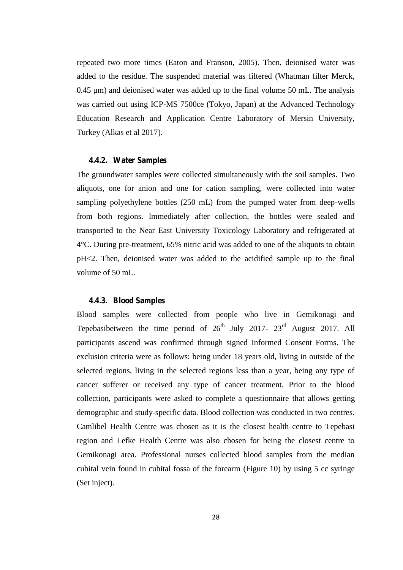repeated two more times (Eaton and Franson, 2005). Then, deionised water was added to the residue. The suspended material was filtered (Whatman filter Merck, 0.45 μm) and deionised water was added up to the final volume 50 mL. The analysis was carried out using ICP-MS 7500ce (Tokyo, Japan) at the Advanced Technology Education Research and Application Centre Laboratory of Mersin University, Turkey (Alkas et al 2017).

### **4.4.2. Water Samples**

The groundwater samples were collected simultaneously with the soil samples. Two aliquots, one for anion and one for cation sampling, were collected into water sampling polyethylene bottles (250 mL) from the pumped water from deep-wells from both regions. Immediately after collection, the bottles were sealed and transported to the Near East University Toxicology Laboratory and refrigerated at 4°C. During pre-treatment, 65% nitric acid was added to one of the aliquots to obtain pH<2. Then, deionised water was added to the acidified sample up to the final volume of 50 mL.

### **4.4.3. Blood Samples**

Blood samples were collected from people who live in Gemikonagi and Tepebasibetween the time period of  $26<sup>th</sup>$  July 2017-  $23<sup>rd</sup>$  August 2017. All participants ascend was confirmed through signed Informed Consent Forms. The exclusion criteria were as follows: being under 18 years old, living in outside of the selected regions, living in the selected regions less than a year, being any type of cancer sufferer or received any type of cancer treatment. Prior to the blood collection, participants were asked to complete a questionnaire that allows getting demographic and study-specific data. Blood collection was conducted in two centres. Camlibel Health Centre was chosen as it is the closest health centre to Tepebasi region and Lefke Health Centre was also chosen for being the closest centre to Gemikonagi area. Professional nurses collected blood samples from the median cubital vein found in cubital fossa of the forearm (Figure 10) by using 5 cc syringe (Set inject).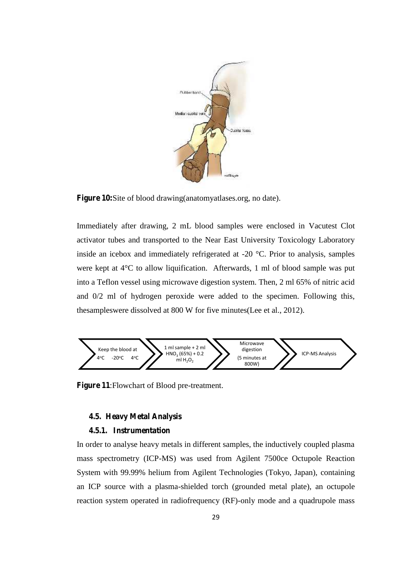

**Figure 10:**Site of blood drawing(anatomyatlases.org, no date).

Immediately after drawing, 2 mL blood samples were enclosed in Vacutest Clot activator tubes and transported to the Near East University Toxicology Laboratory inside an icebox and immediately refrigerated at -20 °C. Prior to analysis, samples were kept at 4°C to allow liquification. Afterwards, 1 ml of blood sample was put into a Teflon vessel using microwave digestion system. Then, 2 ml 65% of nitric acid and 0/2 ml of hydrogen peroxide were added to the specimen. Following this, thesampleswere dissolved at 800 W for five minutes(Lee et al., 2012).



**Figure 11**:Flowchart of Blood pre-treatment.

### **4.5. Heavy Metal Analysis**

### **4.5.1. Instrumentation**

In order to analyse heavy metals in different samples, the inductively coupled plasma mass spectrometry (ICP-MS) was used from Agilent 7500ce Octupole Reaction System with 99.99% helium from Agilent Technologies (Tokyo, Japan), containing an ICP source with a plasma-shielded torch (grounded metal plate), an octupole reaction system operated in radiofrequency (RF)-only mode and a quadrupole mass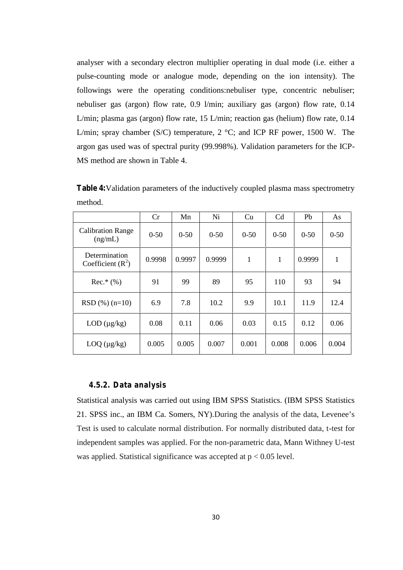analyser with a secondary electron multiplier operating in dual mode (i.e. either a pulse-counting mode or analogue mode, depending on the ion intensity). The followings were the operating conditions:nebuliser type, concentric nebuliser; nebuliser gas (argon) flow rate, 0.9 l/min; auxiliary gas (argon) flow rate, 0.14 L/min; plasma gas (argon) flow rate, 15 L/min; reaction gas (helium) flow rate, 0.14 L/min; spray chamber (S/C) temperature,  $2 \text{ }^{\circ}\text{C}$ ; and ICP RF power, 1500 W. The argon gas used was of spectral purity (99.998%). Validation parameters for the ICP- MS method are shown in Table 4.

**Table 4:**Validation parameters of the inductively coupled plasma mass spectrometry method.

|                                      | Cr       | Mn     | Ni     | Cu           | Cd           | Pb       | As       |
|--------------------------------------|----------|--------|--------|--------------|--------------|----------|----------|
| <b>Calibration Range</b><br>(ng/mL)  | $0 - 50$ | $0-50$ | $0-50$ | $0-50$       | $0 - 50$     | $0 - 50$ | $0 - 50$ |
| Determination<br>Coefficient $(R^2)$ | 0.9998   | 0.9997 | 0.9999 | $\mathbf{1}$ | $\mathbf{1}$ | 0.9999   | 1        |
| $Rec.*$ (%)                          | 91       | 99     | 89     | 95           | 110          | 93       | 94       |
| $RSD$ (%) (n=10)                     | 6.9      | 7.8    | 10.2   | 9.9          | 10.1         | 11.9     | 12.4     |
| LOD (µg/kg)                          | 0.08     | 0.11   | 0.06   | 0.03         | 0.15         | 0.12     | 0.06     |
| $LOQ$ ( $\mu$ g/kg)                  | 0.005    | 0.005  | 0.007  | 0.001        | 0.008        | 0.006    | 0.004    |

### **4.5.2. Data analysis**

Statistical analysis was carried out using IBM SPSS Statistics. (IBM SPSS Statistics 21. SPSS inc., an IBM Ca. Somers, NY).During the analysis of the data, Levenee's Test is used to calculate normal distribution. For normally distributed data, t-test for independent samples was applied. For the non-parametric data, Mann Withney U-test was applied. Statistical significance was accepted at  $p < 0.05$  level.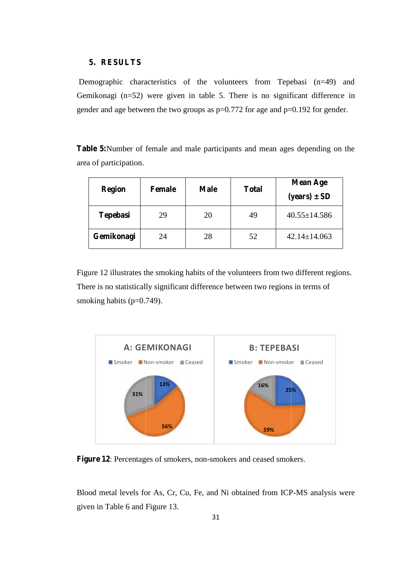### **5. RESULTS 5.RESULTS**

Demographic characteristics of the volunteers from Tepebasi (n=49) and Demographic characteristics of the volunteers from Tepebasi  $(n=49)$  and Gemikonagi  $(n=52)$  were given in table 5. There is no significant difference in gender and age between the two groups as  $p=0.772$  for age and  $p=0.192$  for gender.

**Table 5:**Number of female and male participants and mean ages depending on the area of participation. area of participation.

| <b>Region</b>   | <b>Female</b> | <b>Male</b> | <b>Total</b> | <b>Mean Age</b><br>$(years) \pm SD$ |
|-----------------|---------------|-------------|--------------|-------------------------------------|
| <b>Tepebasi</b> | 29            | 20          | 49           | $40.55 \pm 14.586$                  |
| Gemikonagi      | 24            | 28          | 52           | $42.14 \pm 14.063$                  |

Figure 12 illustrates the smoking habits of the volunteers from two different regions. There is no statistically significant difference between two regions in terms of smoking habits  $(p=0.749)$ . Figure 12 illustrates the smoking habits of the volunteers from<br>There is no statistically significant difference between two regi<br>smoking habits (p=0.749).



**Figure 12**: Percentages of smokers, non-smokers and ceased smokers. **Figure**

Blood metal levels for As, Cr, Cu, Fe, and Ni obtained from ICP-MS analysis were given in Table 6 and Figure 13.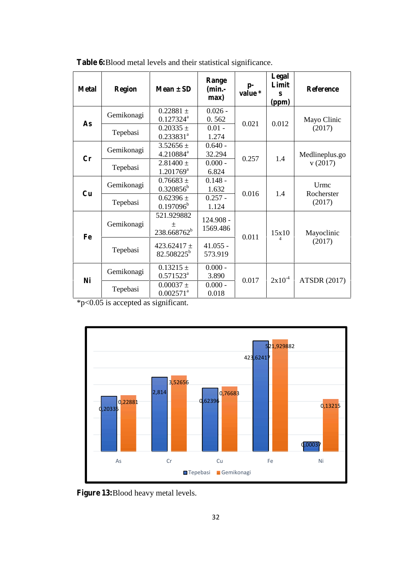| <b>Metal</b> | <b>Region</b>                                                                        | $Mean \pm SD$                                  | Range<br>$(min.-$<br>max) | $p-$<br>value * | Legal<br>Limit<br>S<br>(ppm) | <b>Reference</b>     |
|--------------|--------------------------------------------------------------------------------------|------------------------------------------------|---------------------------|-----------------|------------------------------|----------------------|
| As           | Gemikonagi                                                                           | $0.22881 \pm$<br>$0.127324^a$                  | $0.026 -$<br>0.562        | 0.021           | 0.012                        | Mayo Clinic          |
|              | Tepebasi                                                                             | $0.20335 \pm$<br>$0.233831^{a}$                | $0.01 -$<br>1.274         |                 |                              | (2017)               |
| Cr           | Gemikonagi                                                                           | $3.52656 \pm$<br>4.210884 <sup>a</sup>         | $0.640 -$<br>32.294       | 0.257           | 1.4                          | Medlineplus.go       |
|              | Tepebasi                                                                             | $2.81400 \pm$<br>$1.201769^a$                  | $0.000 -$<br>6.824        |                 |                              | v(2017)              |
|              | Gemikonagi                                                                           | $0.76683 \pm$<br>$0.320856^b$                  | $0.148 -$<br>1.632        |                 |                              | Urmc<br>Rocherster   |
|              | 0.016<br>Cu<br>$0.257 -$<br>$0.62396 \pm$<br>Tepebasi<br>$0.197096^{\rm b}$<br>1.124 | 1.4                                            | (2017)                    |                 |                              |                      |
| Fe           | Gemikonagi                                                                           | 521.929882<br>$\pm$<br>238.668762 <sup>b</sup> | 124.908 -<br>1569.486     | 0.011           | 15x10                        | Mayoclinic<br>(2017) |
|              | Tepebasi                                                                             | 423.62417 $\pm$<br>82.508225 <sup>b</sup>      | $41.055 -$<br>573.919     |                 | Δ                            |                      |
|              | Gemikonagi                                                                           | $0.13215 \pm$<br>$0.571523^a$                  | $0.000 -$<br>3.890        |                 |                              |                      |
| Ni           | Tepebasi                                                                             | $0.00037 \pm$<br>$0.002571$ <sup>a</sup>       | $0.000 -$<br>0.018        | 0.017           | $2x10^{-4}$                  | <b>ATSDR (2017)</b>  |

**Table 6:**Blood metal levels and their statistical significance.

\*p<0.05 is accepted as significant.



**Figure 13:**Blood heavy metal levels.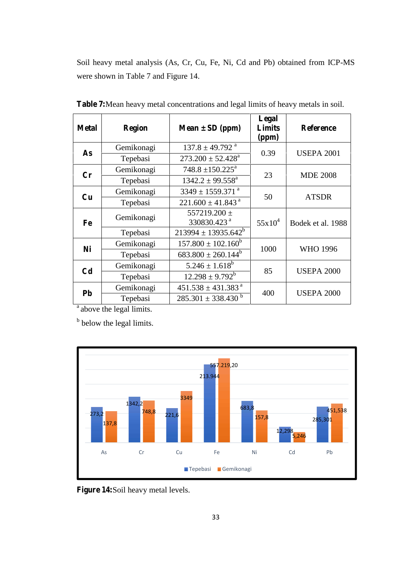Soil heavy metal analysis (As, Cr, Cu, Fe, Ni, Cd and Pb) obtained from ICP-MS were shown in Table 7 and Figure 14.

| <b>Metal</b>   | <b>Region</b> | $Mean \pm SD$ (ppm)                         | Legal<br><b>Limits</b><br>(ppm) | <b>Reference</b>  |
|----------------|---------------|---------------------------------------------|---------------------------------|-------------------|
| As             | Gemikonagi    | $137.8 \pm 49.792$ <sup>a</sup>             | 0.39                            | <b>USEPA 2001</b> |
|                | Tepebasi      | $273.200 \pm 52.428^a$                      |                                 |                   |
| $\mathbf{C}$ r | Gemikonagi    | $748.8 \pm 150.225^{\text{a}}$              |                                 |                   |
|                | Tepebasi      | $1342.2 \pm 99.558^{\text{a}}$              | 23                              | <b>MDE 2008</b>   |
|                | Gemikonagi    | $3349 \pm 1559.371$ <sup>a</sup>            |                                 | <b>ATSDR</b>      |
| Cu             | Tepebasi      | $221.600 \pm 41.843$ <sup>a</sup>           | 50                              |                   |
| Fe             | Gemikonagi    | 557219.200 $\pm$<br>330830.423 <sup>a</sup> | $55x10^4$                       | Bodek et al. 1988 |
|                | Tepebasi      | $213994 \pm 13935.642^b$                    |                                 |                   |
|                | Gemikonagi    | $157.800 \pm 102.160^b$                     | 1000                            |                   |
| Ni             | Tepebasi      | $683.800 \pm 260.144^b$                     |                                 | <b>WHO 1996</b>   |
|                | Gemikonagi    | $5.246 \pm 1.618^b$                         |                                 |                   |
| C <sub>d</sub> | Tepebasi      | $12.298 \pm 9.792^b$                        | 85                              | <b>USEPA 2000</b> |
|                | Gemikonagi    | $451.538 \pm 431.383$ <sup>a</sup>          |                                 |                   |
| <b>Pb</b>      | Tepebasi      | $285.301 \pm 338.430$ <sup>b</sup>          | 400                             | <b>USEPA 2000</b> |

**Table 7:**Mean heavy metal concentrations and legal limits of heavy metals in soil.

 $a$  above the legal limits.

<sup>b</sup> below the legal limits.



**Figure 14:**Soil heavy metal levels.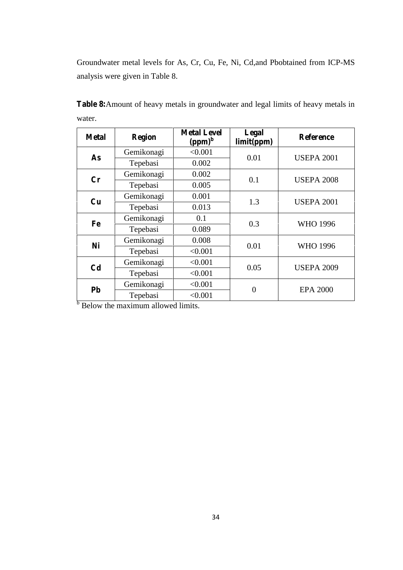Groundwater metal levels for As, Cr, Cu, Fe, Ni, Cd,and Pbobtained from ICP-MS analysis were given in Table 8.

| <b>Metal</b>   | <b>Region</b> | <b>Metal Level</b><br>$(ppm)^b$ | Legal<br>limit(ppm) | <b>Reference</b>  |
|----------------|---------------|---------------------------------|---------------------|-------------------|
| As             | Gemikonagi    | < 0.001                         | 0.01                | <b>USEPA 2001</b> |
|                | Tepebasi      | 0.002                           |                     |                   |
| Cr             | Gemikonagi    | 0.002                           |                     | <b>USEPA 2008</b> |
|                | Tepebasi      | 0.005                           | 0.1                 |                   |
| Cu             | Gemikonagi    | 0.001                           | 1.3                 | <b>USEPA 2001</b> |
|                | Tepebasi      | 0.013                           |                     |                   |
| Fe             | Gemikonagi    | 0.1                             | 0.3                 | <b>WHO 1996</b>   |
|                | Tepebasi      | 0.089                           |                     |                   |
| Ni             | Gemikonagi    | 0.008                           | 0.01                | <b>WHO 1996</b>   |
|                | Tepebasi      | < 0.001                         |                     |                   |
| C <sub>d</sub> | Gemikonagi    | < 0.001                         | 0.05<br>< 0.001     | <b>USEPA 2009</b> |
|                | Tepebasi      |                                 |                     |                   |
| Pb             | Gemikonagi    | < 0.001                         | $\theta$            | <b>EPA 2000</b>   |
|                | Tepebasi      | < 0.001                         |                     |                   |

**Table 8:**Amount of heavy metals in groundwater and legal limits of heavy metals in water.

 $\frac{1}{\text{below the maximum allowed limits.}}$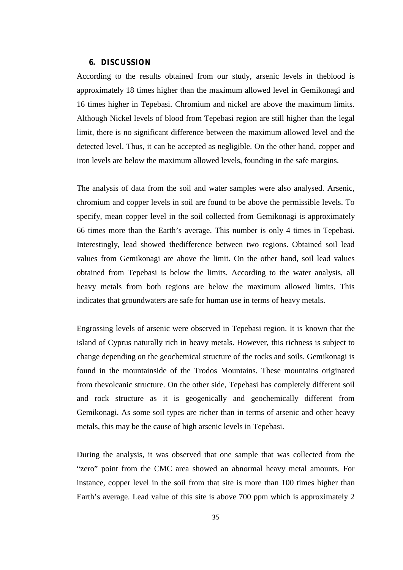### **6. DISCUSSION**

According to the results obtained from our study, arsenic levels in theblood is approximately 18 times higher than the maximum allowed level in Gemikonagi and 16 times higher in Tepebasi. Chromium and nickel are above the maximum limits. Although Nickel levels of blood from Tepebasi region are still higher than the legal limit, there is no significant difference between the maximum allowed level and the detected level. Thus, it can be accepted as negligible. On the other hand, copper and iron levels are below the maximum allowed levels, founding in the safe margins.

The analysis of data from the soil and water samples were also analysed. Arsenic, chromium and copper levels in soil are found to be above the permissible levels. To specify, mean copper level in the soil collected from Gemikonagi is approximately 66 times more than the Earth's average. This number is only 4 times in Tepebasi. Interestingly, lead showed thedifference between two regions. Obtained soil lead values from Gemikonagi are above the limit. On the other hand, soil lead values obtained from Tepebasi is below the limits. According to the water analysis, all heavy metals from both regions are below the maximum allowed limits. This indicates that groundwaters are safe for human use in terms of heavy metals.

Engrossing levels of arsenic were observed in Tepebasi region. It is known that the island of Cyprus naturally rich in heavy metals. However, this richness is subject to change depending on the geochemical structure of the rocks and soils. Gemikonagi is found in the mountainside of the Trodos Mountains. These mountains originated from thevolcanic structure. On the other side, Tepebasi has completely different soil and rock structure as it is geogenically and geochemically different from Gemikonagi. As some soil types are richer than in terms of arsenic and other heavy metals, this may be the cause of high arsenic levels in Tepebasi.

During the analysis, it was observed that one sample that was collected from the "zero" point from the CMC area showed an abnormal heavy metal amounts. For instance, copper level in the soil from that site is more than 100 times higher than Earth's average. Lead value of this site is above 700 ppm which is approximately 2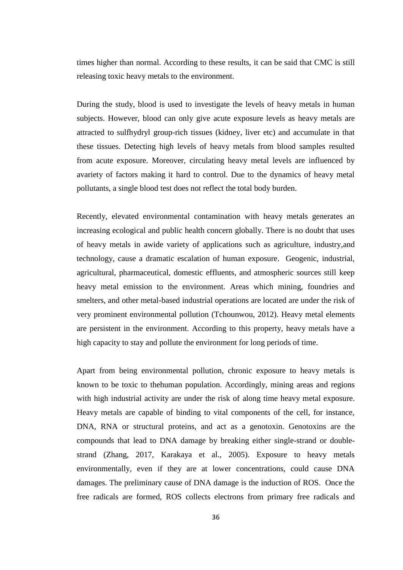times higher than normal. According to these results, it can be said that CMC is still releasing toxic heavy metals to the environment.

During the study, blood is used to investigate the levels of heavy metals in human subjects. However, blood can only give acute exposure levels as heavy metals are attracted to sulfhydryl group-rich tissues (kidney, liver etc) and accumulate in that these tissues. Detecting high levels of heavy metals from blood samples resulted from acute exposure. Moreover, circulating heavy metal levels are influenced by avariety of factors making it hard to control. Due to the dynamics of heavy metal pollutants, a single blood test does not reflect the total body burden.

Recently, elevated environmental contamination with heavy metals generates an increasing ecological and public health concern globally. There is no doubt that uses of heavy metals in awide variety of applications such as agriculture, industry,and technology, cause a dramatic escalation of human exposure. Geogenic, industrial, agricultural, pharmaceutical, domestic effluents, and atmospheric sources still keep heavy metal emission to the environment. Areas which mining, foundries and smelters, and other metal-based industrial operations are located are under the risk of very prominent environmental pollution (Tchounwou, 2012). Heavy metal elements are persistent in the environment. According to this property, heavy metals have a high capacity to stay and pollute the environment for long periods of time.

Apart from being environmental pollution, chronic exposure to heavy metals is known to be toxic to thehuman population. Accordingly, mining areas and regions with high industrial activity are under the risk of along time heavy metal exposure. Heavy metals are capable of binding to vital components of the cell, for instance, DNA, RNA or structural proteins, and act as a genotoxin. Genotoxins are the compounds that lead to DNA damage by breaking either single-strand or double strand (Zhang, 2017, Karakaya et al., 2005). Exposure to heavy metals environmentally, even if they are at lower concentrations, could cause DNA damages. The preliminary cause of DNA damage is the induction of ROS. Once the free radicals are formed, ROS collects electrons from primary free radicals and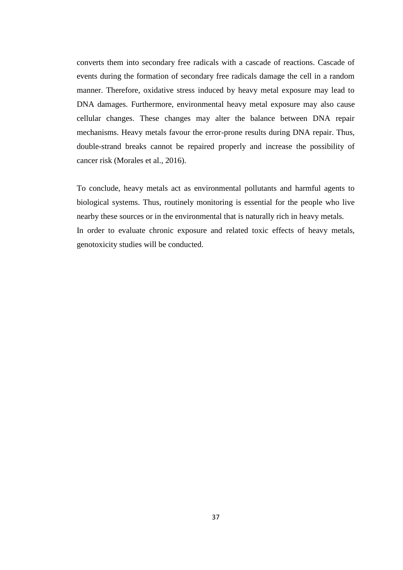converts them into secondary free radicals with a cascade of reactions. Cascade of events during the formation of secondary free radicals damage the cell in a random manner. Therefore, oxidative stress induced by heavy metal exposure may lead to DNA damages. Furthermore, environmental heavy metal exposure may also cause cellular changes. These changes may alter the balance between DNA repair mechanisms. Heavy metals favour the error-prone results during DNA repair. Thus, double-strand breaks cannot be repaired properly and increase the possibility of cancer risk (Morales et al., 2016).

To conclude, heavy metals act as environmental pollutants and harmful agents to biological systems. Thus, routinely monitoring is essential for the people who live nearby these sources or in the environmental that is naturally rich in heavy metals. In order to evaluate chronic exposure and related toxic effects of heavy metals, genotoxicity studies will be conducted.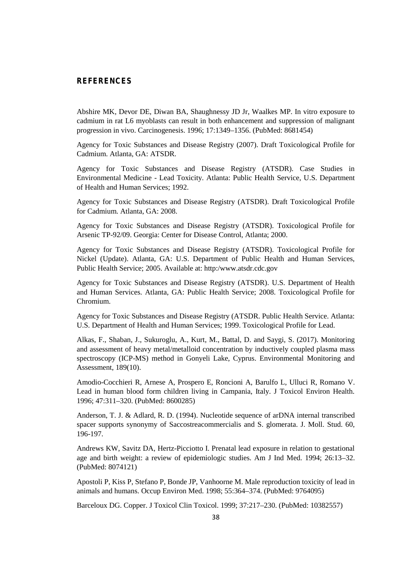### **REFERENCES**

Abshire MK, Devor DE, Diwan BA, Shaughnessy JD Jr, Waalkes MP. In vitro exposure to cadmium in rat L6 myoblasts can result in both enhancement and suppression of malignant progression in vivo. Carcinogenesis. 1996; 17:1349–1356. (PubMed: 8681454)

Agency for Toxic Substances and Disease Registry (2007). Draft Toxicological Profile for Cadmium. Atlanta, GA: ATSDR.

Agency for Toxic Substances and Disease Registry (ATSDR). Case Studies in Environmental Medicine - Lead Toxicity. Atlanta: Public Health Service, U.S. Department of Health and Human Services; 1992.

Agency for Toxic Substances and Disease Registry (ATSDR). Draft Toxicological Profile for Cadmium. Atlanta, GA: 2008.

Agency for Toxic Substances and Disease Registry (ATSDR). Toxicological Profile for Arsenic TP-92/09. Georgia: Center for Disease Control, Atlanta; 2000.

Agency for Toxic Substances and Disease Registry (ATSDR). Toxicological Profile for Nickel (Update). Atlanta, GA: U.S. Department of Public Health and Human Services, Public Health Service; 2005. Available at: http:/www.atsdr.cdc.gov

Agency for Toxic Substances and Disease Registry (ATSDR). U.S. Department of Health and Human Services. Atlanta, GA: Public Health Service; 2008. Toxicological Profile for Chromium.

Agency for Toxic Substances and Disease Registry (ATSDR. Public Health Service. Atlanta: U.S. Department of Health and Human Services; 1999. Toxicological Profile for Lead.

Alkas, F., Shaban, J., Sukuroglu, A., Kurt, M., Battal, D. and Saygi, S. (2017). Monitoring and assessment of heavy metal/metalloid concentration by inductively coupled plasma mass spectroscopy (ICP-MS) method in Gonyeli Lake, Cyprus. Environmental Monitoring and Assessment, 189(10).

Amodio-Cocchieri R, Arnese A, Prospero E, Roncioni A, Barulfo L, Ulluci R, Romano V. Lead in human blood form children living in Campania, Italy. J Toxicol Environ Health. 1996; 47:311–320. (PubMed: 8600285)

Anderson, T. J. & Adlard, R. D. (1994). Nucleotide sequence of arDNA internal transcribed spacer supports synonymy of Saccostreacommercialis and S. glomerata. J. Moll. Stud. 60, 196-197.

Andrews KW, Savitz DA, Hertz-Picciotto I. Prenatal lead exposure in relation to gestational age and birth weight: a review of epidemiologic studies. Am J Ind Med. 1994; 26:13–32. (PubMed: 8074121)

Apostoli P, Kiss P, Stefano P, Bonde JP, Vanhoorne M. Male reproduction toxicity of lead in animals and humans. Occup Environ Med. 1998; 55:364–374. (PubMed: 9764095)

Barceloux DG. Copper. J Toxicol Clin Toxicol. 1999; 37:217–230. (PubMed: 10382557)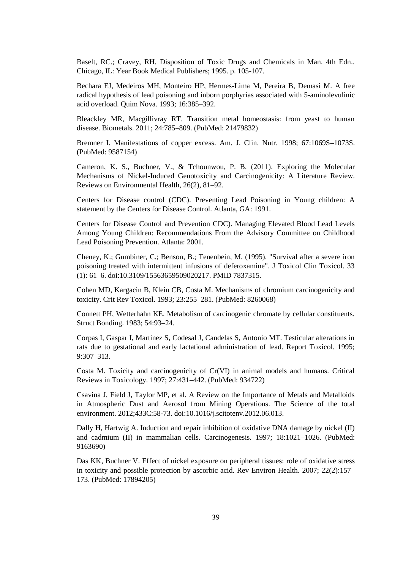Baselt, RC.; Cravey, RH. Disposition of Toxic Drugs and Chemicals in Man. 4th Edn.. Chicago, IL: Year Book Medical Publishers; 1995. p. 105-107.

Bechara EJ, Medeiros MH, Monteiro HP, Hermes-Lima M, Pereira B, Demasi M. A free radical hypothesis of lead poisoning and inborn porphyrias associated with 5-aminolevulinic acid overload. Quim Nova. 1993; 16:385–392.

Bleackley MR, Macgillivray RT. Transition metal homeostasis: from yeast to human disease. Biometals. 2011; 24:785–809. (PubMed: 21479832)

Bremner I. Manifestations of copper excess. Am. J. Clin. Nutr. 1998; 67:1069S–1073S. (PubMed: 9587154)

Cameron, K. S., Buchner, V., & Tchounwou, P. B. (2011). Exploring the Molecular Mechanisms of Nickel-Induced Genotoxicity and Carcinogenicity: A Literature Review. Reviews on Environmental Health, 26(2), 81–92.

Centers for Disease control (CDC). Preventing Lead Poisoning in Young children: A statement by the Centers for Disease Control. Atlanta, GA: 1991.

Centers for Disease Control and Prevention CDC). Managing Elevated Blood Lead Levels Among Young Children: Recommendations From the Advisory Committee on Childhood Lead Poisoning Prevention. Atlanta: 2001.

Cheney, K.; Gumbiner, C.; Benson, B.; Tenenbein, M. (1995). "Survival after a severe iron poisoning treated with intermittent infusions of deferoxamine". J Toxicol Clin Toxicol. 33 (1): 61–6. doi:10.3109/15563659509020217. PMID 7837315.

Cohen MD, Kargacin B, Klein CB, Costa M. Mechanisms of chromium carcinogenicity and toxicity. Crit Rev Toxicol. 1993; 23:255–281. (PubMed: 8260068)

Connett PH, Wetterhahn KE. Metabolism of carcinogenic chromate by cellular constituents. Struct Bonding. 1983; 54:93–24.

Corpas I, Gaspar I, Martinez S, Codesal J, Candelas S, Antonio MT. Testicular alterations in rats due to gestational and early lactational administration of lead. Report Toxicol. 1995; 9:307–313.

Costa M. Toxicity and carcinogenicity of Cr(VI) in animal models and humans. Critical Reviews in Toxicology. 1997; 27:431–442. (PubMed: 934722)

Csavina J, Field J, Taylor MP, et al. A Review on the Importance of Metals and Metalloids in Atmospheric Dust and Aerosol from Mining Operations. The Science of the total environment. 2012;433C:58-73. doi:10.1016/j.scitotenv.2012.06.013.

Dally H, Hartwig A. Induction and repair inhibition of oxidative DNA damage by nickel (II) and cadmium (II) in mammalian cells. Carcinogenesis. 1997; 18:1021–1026. (PubMed: 9163690)

Das KK, Buchner V. Effect of nickel exposure on peripheral tissues: role of oxidative stress in toxicity and possible protection by ascorbic acid. Rev Environ Health. 2007; 22(2):157– 173. (PubMed: 17894205)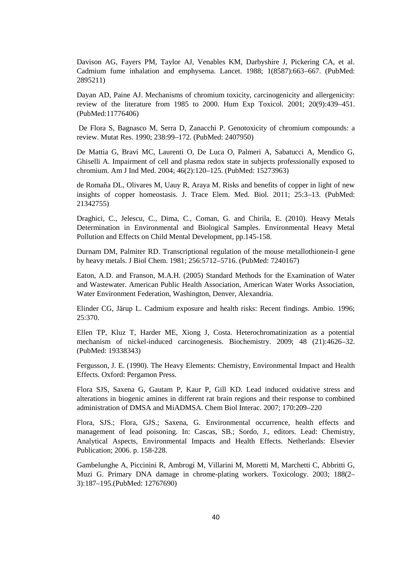Davison AG, Fayers PM, Taylor AJ, Venables KM, Darbyshire J, Pickering CA, et al. Cadmium fume inhalation and emphysema. Lancet. 1988; 1(8587):663–667. (PubMed: 2895211)

Dayan AD, Paine AJ. Mechanisms of chromium toxicity, carcinogenicity and allergenicity: review of the literature from 1985 to 2000. Hum Exp Toxicol. 2001; 20(9):439–451. (PubMed:11776406)

De Flora S, Bagnasco M, Serra D, Zanacchi P. Genotoxicity of chromium compounds: a review. Mutat Res. 1990; 238:99–172. (PubMed: 2407950)

De Mattia G, Bravi MC, Laurenti O, De Luca O, Palmeri A, Sabatucci A, Mendico G, Ghiselli A. Impairment of cell and plasma redox state in subjects professionally exposed to chromium. Am J Ind Med. 2004; 46(2):120–125. (PubMed: 15273963)

de Romaña DL, Olivares M, Uauy R, Araya M. Risks and benefits of copper in light of new insights of copper homeostasis. J. Trace Elem. Med. Biol. 2011; 25:3–13. (PubMed: 21342755)

Draghici, C., Jelescu, C., Dima, C., Coman, G. and Chirila, E. (2010). Heavy Metals Determination in Environmental and Biological Samples. Environmental Heavy Metal Pollution and Effects on Child Mental Development, pp.145-158.

Durnam DM, Palmiter RD. Transcriptional regulation of the mouse metallothionein-I gene by heavy metals. J Biol Chem. 1981; 256:5712–5716. (PubMed: 7240167)

Eaton, A.D. and Franson, M.A.H. (2005) Standard Methods for the Examination of Water and Wastewater. American Public Health Association, American Water Works Association, Water Environment Federation, Washington, Denver, Alexandria.

Elinder CG, Järup L. Cadmium exposure and health risks: Recent findings. Ambio. 1996; 25:370.

Ellen TP, Kluz T, Harder ME, Xiong J, Costa. Heterochromatinization as a potential mechanism of nickel-induced carcinogenesis. Biochemistry. 2009; 48 (21):4626–32. (PubMed: 19338343)

Fergusson, J. E. (1990). The Heavy Elements: Chemistry, Environmental Impact and Health Effects. Oxford: Pergamon Press.

Flora SJS, Saxena G, Gautam P, Kaur P, Gill KD. Lead induced oxidative stress and alterations in biogenic amines in different rat brain regions and their response to combined administration of DMSA and MiADMSA. Chem Biol Interac. 2007; 170:209–220

Flora, SJS.; Flora, GJS.; Saxena, G. Environmental occurrence, health effects and management of lead poisoning. In: Cascas, SB.; Sordo, J., editors. Lead: Chemistry, Analytical Aspects, Environmental Impacts and Health Effects. Netherlands: Elsevier Publication; 2006. p. 158-228.

Gambelunghe A, Piccinini R, Ambrogi M, Villarini M, Moretti M, Marchetti C, Abbritti G, Muzi G. Primary DNA damage in chrome-plating workers. Toxicology. 2003; 188(2– 3):187–195.(PubMed: 12767690)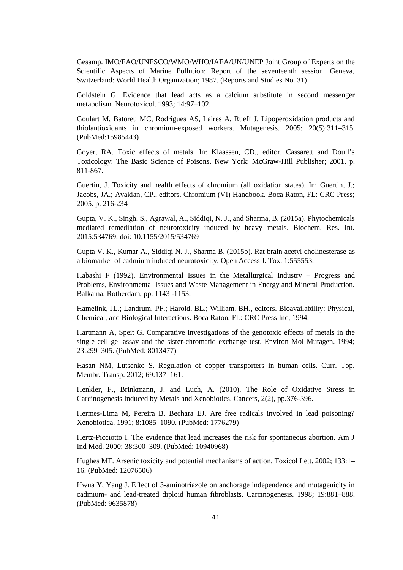Gesamp. IMO/FAO/UNESCO/WMO/WHO/IAEA/UN/UNEP Joint Group of Experts on the Scientific Aspects of Marine Pollution: Report of the seventeenth session. Geneva, Switzerland: World Health Organization; 1987. (Reports and Studies No. 31)

Goldstein G. Evidence that lead acts as a calcium substitute in second messenger metabolism. Neurotoxicol. 1993; 14:97–102.

Goulart M, Batoreu MC, Rodrigues AS, Laires A, Rueff J. Lipoperoxidation products and thiolantioxidants in chromium-exposed workers. Mutagenesis. 2005; 20(5):311–315. (PubMed:15985443)

Goyer, RA. Toxic effects of metals. In: Klaassen, CD., editor. Cassarett and Doull's Toxicology: The Basic Science of Poisons. New York: McGraw-Hill Publisher; 2001. p. 811-867.

Guertin, J. Toxicity and health effects of chromium (all oxidation states). In: Guertin, J.; Jacobs, JA.; Avakian, CP., editors. Chromium (VI) Handbook. Boca Raton, FL: CRC Press; 2005. p. 216-234

Gupta, V. K., Singh, S., Agrawal, A., Siddiqi, N. J., and Sharma, B. (2015a). Phytochemicals mediated remediation of neurotoxicity induced by heavy metals. Biochem. Res. Int. 2015:534769. doi: 10.1155/2015/534769

Gupta V. K., Kumar A., Siddiqi N. J., Sharma B. (2015b). Rat brain acetyl cholinesterase as a biomarker of cadmium induced neurotoxicity. Open Access J. Tox. 1:555553.

Habashi F (1992). Environmental Issues in the Metallurgical Industry – Progress and Problems, Environmental Issues and Waste Management in Energy and Mineral Production. Balkama, Rotherdam, pp. 1143 -1153.

Hamelink, JL.; Landrum, PF.; Harold, BL.; William, BH., editors. Bioavailability: Physical, Chemical, and Biological Interactions. Boca Raton, FL: CRC Press Inc; 1994.

Hartmann A, Speit G. Comparative investigations of the genotoxic effects of metals in the single cell gel assay and the sister-chromatid exchange test. Environ Mol Mutagen. 1994; 23:299–305. (PubMed: 8013477)

Hasan NM, Lutsenko S. Regulation of copper transporters in human cells. Curr. Top. Membr. Transp. 2012; 69:137–161.

Henkler, F., Brinkmann, J. and Luch, A. (2010). The Role of Oxidative Stress in Carcinogenesis Induced by Metals and Xenobiotics. Cancers, 2(2), pp.376-396.

Hermes-Lima M, Pereira B, Bechara EJ. Are free radicals involved in lead poisoning? Xenobiotica. 1991; 8:1085–1090. (PubMed: 1776279)

Hertz-Picciotto I. The evidence that lead increases the risk for spontaneous abortion. Am J Ind Med. 2000; 38:300–309. (PubMed: 10940968)

Hughes MF. Arsenic toxicity and potential mechanisms of action. Toxicol Lett. 2002; 133:1– 16. (PubMed: 12076506)

Hwua Y, Yang J. Effect of 3-aminotriazole on anchorage independence and mutagenicity in cadmium- and lead-treated diploid human fibroblasts. Carcinogenesis. 1998; 19:881–888. (PubMed: 9635878)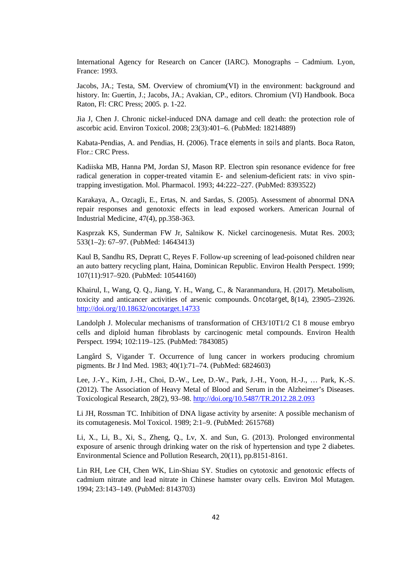International Agency for Research on Cancer (IARC). Monographs – Cadmium. Lyon, France: 1993.

Jacobs, JA.; Testa, SM. Overview of chromium(VI) in the environment: background and history. In: Guertin, J.; Jacobs, JA.; Avakian, CP., editors. Chromium (VI) Handbook. Boca Raton, Fl: CRC Press; 2005. p. 1-22.

Jia J, Chen J. Chronic nickel-induced DNA damage and cell death: the protection role of ascorbic acid. Environ Toxicol. 2008; 23(3):401–6. (PubMed: 18214889)

Kabata-Pendias, A. and Pendias, H. (2006). *Trace elements in soils and plants*. Boca Raton, Flor.: CRC Press.

Kadiiska MB, Hanna PM, Jordan SJ, Mason RP. Electron spin resonance evidence for free radical generation in copper-treated vitamin E- and selenium-deficient rats: in vivo spintrapping investigation. Mol. Pharmacol. 1993; 44:222–227. (PubMed: 8393522)

Karakaya, A., Ozcagli, E., Ertas, N. and Sardas, S. (2005). Assessment of abnormal DNA repair responses and genotoxic effects in lead exposed workers. American Journal of Industrial Medicine, 47(4), pp.358-363.

Kasprzak KS, Sunderman FW Jr, Salnikow K. Nickel carcinogenesis. Mutat Res. 2003; 533(1–2): 67–97. (PubMed: 14643413)

Kaul B, Sandhu RS, Depratt C, Reyes F. Follow-up screening of lead-poisoned children near an auto battery recycling plant, Haina, Dominican Republic. Environ Health Perspect. 1999; 107(11):917–920. (PubMed: 10544160)

Khairul, I., Wang, Q. Q., Jiang, Y. H., Wang, C., & Naranmandura, H. (2017). Metabolism, toxicity and anticancer activities of arsenic compounds. *Oncotarget*, *8*(14), 23905–23926. http://doi.org/10.18632/oncotarget.14733

Landolph J. Molecular mechanisms of transformation of CH3/10T1/2 C1 8 mouse embryo cells and diploid human fibroblasts by carcinogenic metal compounds. Environ Health Perspect. 1994; 102:119–125. (PubMed: 7843085)

Langård S, Vigander T. Occurrence of lung cancer in workers producing chromium pigments. Br J Ind Med. 1983; 40(1):71–74. (PubMed: 6824603)

Lee, J.-Y., Kim, J.-H., Choi, D.-W., Lee, D.-W., Park, J.-H., Yoon, H.-J., … Park, K.-S. (2012). The Association of Heavy Metal of Blood and Serum in the Alzheimer's Diseases. Toxicological Research, 28(2), 93–98. http://doi.org/10.5487/TR.2012.28.2.093

Li JH, Rossman TC. Inhibition of DNA ligase activity by arsenite: A possible mechanism of its comutagenesis. Mol Toxicol. 1989; 2:1–9. (PubMed: 2615768)

Li, X., Li, B., Xi, S., Zheng, Q., Lv, X. and Sun, G. (2013). Prolonged environmental exposure of arsenic through drinking water on the risk of hypertension and type 2 diabetes. Environmental Science and Pollution Research, 20(11), pp.8151-8161.

Lin RH, Lee CH, Chen WK, Lin-Shiau SY. Studies on cytotoxic and genotoxic effects of cadmium nitrate and lead nitrate in Chinese hamster ovary cells. Environ Mol Mutagen. 1994; 23:143–149. (PubMed: 8143703)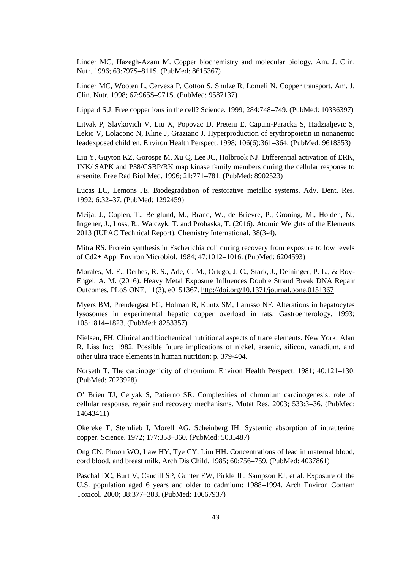Linder MC, Hazegh-Azam M. Copper biochemistry and molecular biology. Am. J. Clin. Nutr. 1996; 63:797S–811S. (PubMed: 8615367)

Linder MC, Wooten L, Cerveza P, Cotton S, Shulze R, Lomeli N. Copper transport. Am. J. Clin. Nutr. 1998; 67:965S–971S. (PubMed: 9587137)

Lippard S,J. Free copper ions in the cell? Science. 1999; 284:748–749. (PubMed: 10336397)

Litvak P, Slavkovich V, Liu X, Popovac D, Preteni E, Capuni-Paracka S, Hadzialjevic S, Lekic V, Lolacono N, Kline J, Graziano J. Hyperproduction of erythropoietin in nonanemic leadexposed children. Environ Health Perspect. 1998; 106(6):361–364. (PubMed: 9618353)

Liu Y, Guyton KZ, Gorospe M, Xu Q, Lee JC, Holbrook NJ. Differential activation of ERK, JNK/ SAPK and P38/CSBP/RK map kinase family members during the cellular response to arsenite. Free Rad Biol Med. 1996; 21:771–781. (PubMed: 8902523)

Lucas LC, Lemons JE. Biodegradation of restorative metallic systems. Adv. Dent. Res. 1992; 6:32–37. (PubMed: 1292459)

Meija, J., Coplen, T., Berglund, M., Brand, W., de Brievre, P., Groning, M., Holden, N., Irrgeher, J., Loss, R., Walczyk, T. and Prohaska, T. (2016). Atomic Weights of the Elements 2013 (IUPAC Technical Report). Chemistry International, 38(3-4).

Mitra RS. Protein synthesis in Escherichia coli during recovery from exposure to low levels of Cd2+ Appl Environ Microbiol. 1984; 47:1012–1016. (PubMed: 6204593)

Morales, M. E., Derbes, R. S., Ade, C. M., Ortego, J. C., Stark, J., Deininger, P. L., & Roy- Engel, A. M. (2016). Heavy Metal Exposure Influences Double Strand Break DNA Repair Outcomes. PLoS ONE, 11(3), e0151367. http://doi.org/10.1371/journal.pone.0151367

Myers BM, Prendergast FG, Holman R, Kuntz SM, Larusso NF. Alterations in hepatocytes lysosomes in experimental hepatic copper overload in rats. Gastroenterology. 1993; 105:1814–1823. (PubMed: 8253357)

Nielsen, FH. Clinical and biochemical nutritional aspects of trace elements. New York: Alan R. Liss Inc; 1982. Possible future implications of nickel, arsenic, silicon, vanadium, and other ultra trace elements in human nutrition; p. 379-404.

Norseth T. The carcinogenicity of chromium. Environ Health Perspect. 1981; 40:121–130. (PubMed: 7023928)

O' Brien TJ, Ceryak S, Patierno SR. Complexities of chromium carcinogenesis: role of cellular response, repair and recovery mechanisms. Mutat Res. 2003; 533:3–36. (PubMed: 14643411)

Okereke T, Sternlieb I, Morell AG, Scheinberg IH. Systemic absorption of intrauterine copper. Science. 1972; 177:358–360. (PubMed: 5035487)

Ong CN, Phoon WO, Law HY, Tye CY, Lim HH. Concentrations of lead in maternal blood, cord blood, and breast milk. Arch Dis Child. 1985; 60:756–759. (PubMed: 4037861)

Paschal DC, Burt V, Caudill SP, Gunter EW, Pirkle JL, Sampson EJ, et al. Exposure of the U.S. population aged 6 years and older to cadmium: 1988–1994. Arch Environ Contam Toxicol. 2000; 38:377–383. (PubMed: 10667937)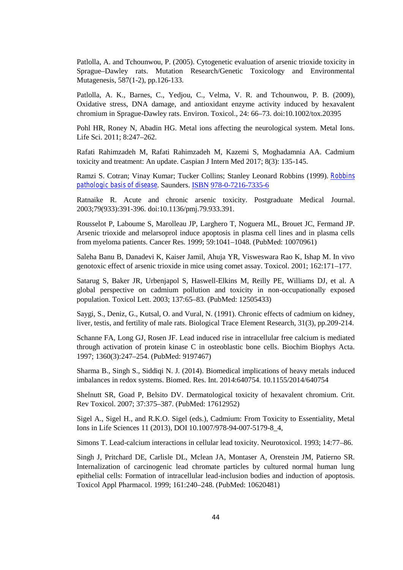Patlolla, A. and Tchounwou, P. (2005). Cytogenetic evaluation of arsenic trioxide toxicity in Sprague–Dawley rats. Mutation Research/Genetic Toxicology and Environmental Mutagenesis, 587(1-2), pp.126-133.

Patlolla, A. K., Barnes, C., Yedjou, C., Velma, V. R. and Tchounwou, P. B. (2009), Oxidative stress, DNA damage, and antioxidant enzyme activity induced by hexavalent chromium in Sprague-Dawley rats. Environ. Toxicol., 24: 66–73. doi:10.1002/tox.20395

Pohl HR, Roney N, Abadin HG. Metal ions affecting the neurological system. Metal Ions. Life Sci. 2011; 8:247–262.

Rafati Rahimzadeh M, Rafati Rahimzadeh M, Kazemi S, Moghadamnia AA. Cadmium toxicity and treatment: An update. Caspian J Intern Med 2017; 8(3): 135-145.

Ramzi S. Cotran; Vinay Kumar; Tucker Collins; Stanley Leonard Robbins (1999). *Robbins pathologic basis of disease*. Saunders. ISBN 978-0-7216-7335-6

Ratnaike R. Acute and chronic arsenic toxicity. Postgraduate Medical Journal. 2003;79(933):391-396. doi:10.1136/pmj.79.933.391.

Rousselot P, Laboume S, Marolleau JP, Larghero T, Noguera ML, Brouet JC, Fermand JP. Arsenic trioxide and melarsoprol induce apoptosis in plasma cell lines and in plasma cells from myeloma patients. Cancer Res. 1999; 59:1041–1048. (PubMed: 10070961)

Saleha Banu B, Danadevi K, Kaiser Jamil, Ahuja YR, Visweswara Rao K, Ishap M. In vivo genotoxic effect of arsenic trioxide in mice using comet assay. Toxicol. 2001; 162:171–177.

Satarug S, Baker JR, Urbenjapol S, Haswell-Elkins M, Reilly PE, Williams DJ, et al. A global perspective on cadmium pollution and toxicity in non-occupationally exposed population. Toxicol Lett. 2003; 137:65–83. (PubMed: 12505433)

Saygi, S., Deniz, G., Kutsal, O. and Vural, N. (1991). Chronic effects of cadmium on kidney, liver, testis, and fertility of male rats. Biological Trace Element Research, 31(3), pp.209-214.

Schanne FA, Long GJ, Rosen JF. Lead induced rise in intracellular free calcium is mediated through activation of protein kinase C in osteoblastic bone cells. Biochim Biophys Acta. 1997; 1360(3):247–254. (PubMed: 9197467)

Sharma B., Singh S., Siddiqi N. J. (2014). Biomedical implications of heavy metals induced imbalances in redox systems. Biomed. Res. Int. 2014:640754. 10.1155/2014/640754

Shelnutt SR, Goad P, Belsito DV. Dermatological toxicity of hexavalent chromium. Crit. Rev Toxicol. 2007; 37:375–387. (PubMed: 17612952)

Sigel A., Sigel H., and R.K.O. Sigel (eds.), Cadmium: From Toxicity to Essentiality, Metal Ions in Life Sciences 11 (2013), DOI 10.1007/978-94-007-5179-8\_4,

Simons T. Lead-calcium interactions in cellular lead toxicity. Neurotoxicol. 1993; 14:77–86.

Singh J, Pritchard DE, Carlisle DL, Mclean JA, Montaser A, Orenstein JM, Patierno SR. Internalization of carcinogenic lead chromate particles by cultured normal human lung epithelial cells: Formation of intracellular lead-inclusion bodies and induction of apoptosis. Toxicol Appl Pharmacol. 1999; 161:240–248. (PubMed: 10620481)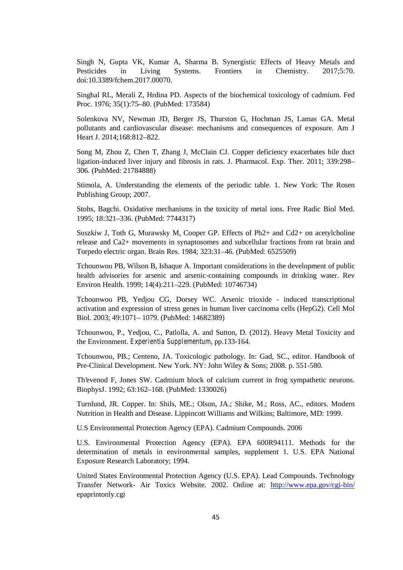Singh N, Gupta VK, Kumar A, Sharma B. Synergistic Effects of Heavy Metals and Pesticides in Living Systems. Frontiers in Chemistry. 2017;5:70. doi:10.3389/fchem.2017.00070.

Singhal RL, Merali Z, Hrdina PD. Aspects of the biochemical toxicology of cadmium. Fed Proc. 1976; 35(1):75–80. (PubMed: 173584)

Solenkova NV, Newman JD, Berger JS, Thurston G, Hochman JS, Lamas GA. Metal pollutants and cardiovascular disease: mechanisms and consequences of exposure. Am J Heart J. 2014;168:812–822.

Song M, Zhou Z, Chen T, Zhang J, McClain CJ. Copper deficiency exacerbates bile duct ligation-induced liver injury and fibrosis in rats. J. Pharmacol. Exp. Ther. 2011; 339:298– 306. (PubMed: 21784888)

Stimola, A. Understanding the elements of the periodic table. 1. New York: The Rosen Publishing Group; 2007.

Stohs, Bagchi. Oxidative mechanisms in the toxicity of metal ions. Free Radic Biol Med. 1995; 18:321–336. (PubMed: 7744317)

Suszkiw J, Toth G, Murawsky M, Cooper GP. Effects of Pb2+ and Cd2+ on acetylcholine release and Ca2+ movements in synaptosomes and subcellular fractions from rat brain and Torpedo electric organ. Brain Res. 1984; 323:31–46. (PubMed: 6525509)

Tchounwou PB, Wilson B, Ishaque A. Important considerations in the development of public health advisories for arsenic and arsenic-containing compounds in drinking water. Rev Environ Health. 1999; 14(4):211–229. (PubMed: 10746734)

Tchounwou PB, Yedjou CG, Dorsey WC. Arsenic trioxide - induced transcriptional activation and expression of stress genes in human liver carcinoma cells (HepG2). Cell Mol Biol. 2003; 49:1071– 1079. (PubMed: 14682389)

Tchounwou, P., Yedjou, C., Patlolla, A. and Sutton, D. (2012). Heavy Metal Toxicity and the Environment. *Experientia Supplementum*, pp.133-164.

Tchounwou, PB.; Centeno, JA. Toxicologic pathology. In: Gad, SC., editor. Handbook of Pre-Clinical Development. New York. NY: John Wiley & Sons; 2008. p. 551-580.

Th'evenod F, Jones SW. Cadmium block of calcium current in frog sympathetic neurons. BiophysJ. 1992; 63:162–168. (PubMed: 1330026)

Turnlund, JR. Copper. In: Shils, ME.; Olson, JA.; Shike, M.; Ross, AC., editors. Modern Nutrition in Health and Disease. Lippincott Williams and Wilkins; Baltimore, MD: 1999.

U.S Environmental Protection Agency (EPA). Cadmium Compounds. 2006

U.S. Environmental Protection Agency (EPA). EPA 600R94111. Methods for the determination of metals in environmental samples, supplement 1. U.S. EPA National Exposure Research Laboratory; 1994.

United States Environmental Protection Agency (U.S. EPA). Lead Compounds. Technology Transfer Network- Air Toxics Website. 2002. Online at: http://www.epa.gov/cgi-bin/ epaprintonly.cgi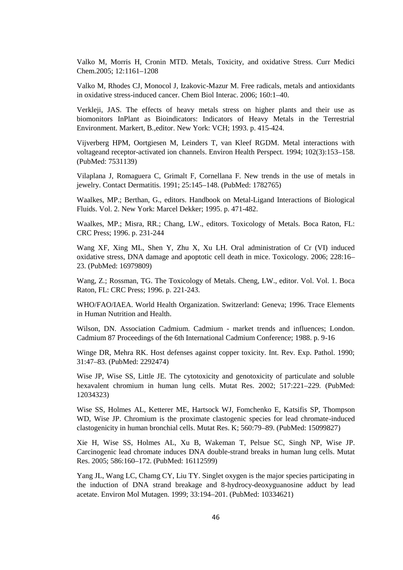Valko M, Morris H, Cronin MTD. Metals, Toxicity, and oxidative Stress. Curr Medici Chem.2005; 12:1161–1208

Valko M, Rhodes CJ, Monocol J, Izakovic-Mazur M. Free radicals, metals and antioxidants in oxidative stress-induced cancer. Chem Biol Interac. 2006; 160:1–40.

Verkleji, JAS. The effects of heavy metals stress on higher plants and their use as biomonitors InPlant as Bioindicators: Indicators of Heavy Metals in the Terrestrial Environment. Markert, B.,editor. New York: VCH; 1993. p. 415-424.

Vijverberg HPM, Oortgiesen M, Leinders T, van Kleef RGDM. Metal interactions with voltageand receptor-activated ion channels. Environ Health Perspect. 1994; 102(3):153–158. (PubMed: 7531139)

Vilaplana J, Romaguera C, Grimalt F, Cornellana F. New trends in the use of metals in jewelry. Contact Dermatitis. 1991; 25:145–148. (PubMed: 1782765)

Waalkes, MP.; Berthan, G., editors. Handbook on Metal-Ligand Interactions of Biological Fluids. Vol. 2. New York: Marcel Dekker; 1995. p. 471-482.

Waalkes, MP.; Misra, RR.; Chang, LW., editors. Toxicology of Metals. Boca Raton, FL: CRC Press; 1996. p. 231-244

Wang XF, Xing ML, Shen Y, Zhu X, Xu LH. Oral administration of Cr (VI) induced oxidative stress, DNA damage and apoptotic cell death in mice. Toxicology. 2006; 228:16– 23. (PubMed: 16979809)

Wang, Z.; Rossman, TG. The Toxicology of Metals. Cheng, LW., editor. Vol. Vol. 1. Boca Raton, FL: CRC Press; 1996. p. 221-243.

WHO/FAO/IAEA. World Health Organization. Switzerland: Geneva; 1996. Trace Elements in Human Nutrition and Health.

Wilson, DN. Association Cadmium. Cadmium - market trends and influences; London. Cadmium 87 Proceedings of the 6th International Cadmium Conference; 1988. p. 9-16

Winge DR, Mehra RK. Host defenses against copper toxicity. Int. Rev. Exp. Pathol. 1990; 31:47–83. (PubMed: 2292474)

Wise JP, Wise SS, Little JE. The cytotoxicity and genotoxicity of particulate and soluble hexavalent chromium in human lung cells. Mutat Res. 2002; 517:221–229. (PubMed: 12034323)

Wise SS, Holmes AL, Ketterer ME, Hartsock WJ, Fomchenko E, Katsifis SP, Thompson WD, Wise JP. Chromium is the proximate clastogenic species for lead chromate-induced clastogenicity in human bronchial cells. Mutat Res. K; 560:79–89. (PubMed: 15099827)

Xie H, Wise SS, Holmes AL, Xu B, Wakeman T, Pelsue SC, Singh NP, Wise JP. Carcinogenic lead chromate induces DNA double-strand breaks in human lung cells. Mutat Res. 2005; 586:160–172. (PubMed: 16112599)

Yang JL, Wang LC, Chamg CY, Liu TY. Singlet oxygen is the major species participating in the induction of DNA strand breakage and 8-hydrocy-deoxyguanosine adduct by lead acetate. Environ Mol Mutagen. 1999; 33:194–201. (PubMed: 10334621)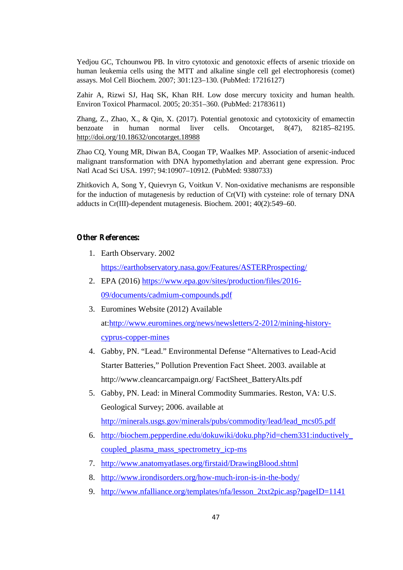Yedjou GC, Tchounwou PB. In vitro cytotoxic and genotoxic effects of arsenic trioxide on human leukemia cells using the MTT and alkaline single cell gel electrophoresis (comet) assays. Mol Cell Biochem. 2007; 301:123–130. (PubMed: 17216127)

Zahir A, Rizwi SJ, Haq SK, Khan RH. Low dose mercury toxicity and human health. Environ Toxicol Pharmacol. 2005; 20:351–360. (PubMed: 21783611)

Zhang, Z., Zhao, X., & Qin, X. (2017). Potential genotoxic and cytotoxicity of emamectin benzoate in human normal liver cells. Oncotarget, 8(47), 82185–82195. http://doi.org/10.18632/oncotarget.18988

Zhao CQ, Young MR, Diwan BA, Coogan TP, Waalkes MP. Association of arsenic-induced malignant transformation with DNA hypomethylation and aberrant gene expression. Proc Natl Acad Sci USA. 1997; 94:10907–10912. (PubMed: 9380733)

Zhitkovich A, Song Y, Quievryn G, Voitkun V. Non-oxidative mechanisms are responsible for the induction of mutagenesis by reduction of Cr(VI) with cysteine: role of ternary DNA adducts in Cr(III)-dependent mutagenesis. Biochem. 2001; 40(2):549–60.

### **Other References:**

1. Earth Observary. 2002

https://earthobservatory.nasa.gov/Features/ASTERProspecting/

- 2. EPA (2016) https://www.epa.gov/sites/production/files/2016- 09/documents/cadmium-compounds.pdf
- 3. Euromines Website (2012) Available at:http://www.euromines.org/news/newsletters/2-2012/mining-history cyprus-copper-mines
- 4. Gabby, PN. "Lead." Environmental Defense "Alternatives to Lead-Acid Starter Batteries," Pollution Prevention Fact Sheet. 2003. available at http://www.cleancarcampaign.org/ FactSheet\_BatteryAlts.pdf
- 5. Gabby, PN. Lead: in Mineral Commodity Summaries. Reston, VA: U.S. Geological Survey; 2006. available at http://minerals.usgs.gov/minerals/pubs/commodity/lead/lead\_mcs05.pdf
- 6. http://biochem.pepperdine.edu/dokuwiki/doku.php?id=chem331:inductively\_ coupled\_plasma\_mass\_spectrometry\_icp-ms
- 7. http://www.anatomyatlases.org/firstaid/DrawingBlood.shtml
- 8. http://www.irondisorders.org/how-much-iron-is-in-the-body/
- 9. http://www.nfalliance.org/templates/nfa/lesson\_2txt2pic.asp?pageID=1141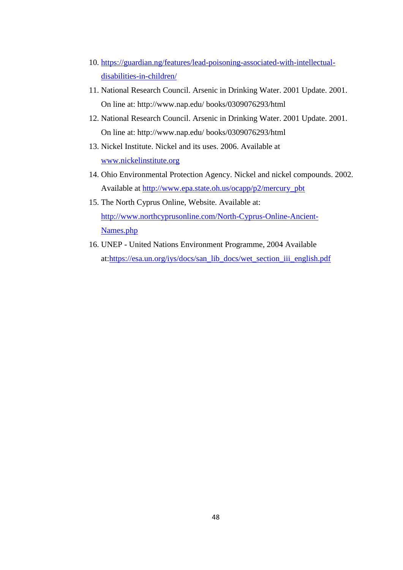- 10. https://guardian.ng/features/lead-poisoning-associated-with-intellectual disabilities-in-children/
- 11. National Research Council. Arsenic in Drinking Water. 2001 Update. 2001. On line at:http://www.nap.edu/ books/0309076293/html
- 12. National Research Council. Arsenic in Drinking Water. 2001 Update. 2001. On line at:http://www.nap.edu/ books/0309076293/html
- 13. Nickel Institute. Nickel and its uses. 2006. Available at www.nickelinstitute.org
- 14. Ohio Environmental Protection Agency. Nickel and nickel compounds. 2002. Available at http://www.epa.state.oh.us/ocapp/p2/mercury\_pbt
- 15. The North Cyprus Online, Website. Available at: http://www.northcyprusonline.com/North-Cyprus-Online-Ancient- Names.php
- 16. UNEP United Nations Environment Programme, 2004 Available at:https://esa.un.org/iys/docs/san\_lib\_docs/wet\_section\_iii\_english.pdf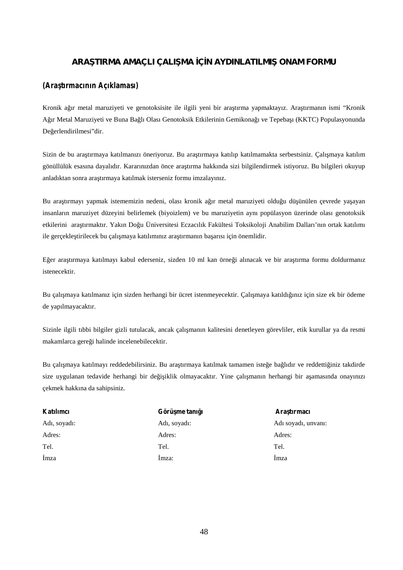# ARA TIRMA AMAÇLI ÇALI MA Ç N AYDINLATILMI ONAM FORMU

### *(Araştırmacının Açıklaması)*

Kronik a ır metal maruziyeti ve genotoksisite ile ilgili yeni bir ara tırma yapmaktayız. Ara tırmanın ismi "Kronik A ır Metal Maruziyeti ve Buna Ba lı Olası Genotoksik Etkilerinin Gemikona 1 ve Tepeba 1 (KKTC) Populasyonunda De erlendirilmesi"dir.

Sizin de bu ara tırmaya katılmanızı öneriyoruz. Bu ara tırmaya katılıp katılmamakta serbestsiniz. Çalı maya katılım gönüllülük esasına dayalıdır. Kararınızdan önce ara tırma hakkında sizi bilgilendirmek istiyoruz. Bu bilgileri okuyup anladıktan sonra ara tırmaya katılmak isterseniz formu imzalayınız.

Bu ara tırmayı yapmak istememizin nedeni, olası kronik a ır metal maruziyeti oldu u dü ünülen çevrede ya ayan insanların maruziyet düzeyini belirlemek (biyoizlem) ve bu maruziyetin aynı popülasyon üzerinde olası genotoksik etkilerini ara tırmaktır. Yakın Do u Üniversitesi Eczacılık Fakültesi Toksikoloji Anabilim Dalları'nın ortak katılımı ile gerçekle tirilecek bu çalı maya katılımınız ara tırmanın ba arısı için önemlidir.

Eğer araştırmaya katılmayı kabul ederseniz, sizden 10 ml kan örneği alınacak ve bir araştırma formu doldurmanız istenecektir.

Bu çalı maya katılmanız için sizden herhangi bir ücret istenmeyecektir. Çalı maya katıldı ınız için size ek bir ödeme de yapılmayacaktır.

Sizinle ilgili tıbbi bilgiler gizli tutulacak, ancak çalı manın kalitesini denetleyen görevliler, etik kurullar ya da resmi makamlarca gere i halinde incelenebilecektir.

Bu çalı maya katılmayı reddedebilirsiniz. Bu ara tırmaya katılmak tamamen iste e ba lıdır ve reddetti iniz takdirde size uygulanan tedavide herhangi bir de i iklik olmayacaktır. Yine çalı manın herhangi bir a amasında onayınızı çekmek hakkına da sahipsiniz.

| Katılımcı    | Görü me tanı 1 | Ara tirmaci         |
|--------------|----------------|---------------------|
| Adı, soyadı: | Adı, soyadı:   | Adı soyadı, unvanı: |
| Adres:       | Adres:         | Adres:              |
| Tel.         | Tel.           | Tel.                |
| mza          | mza:           | mza                 |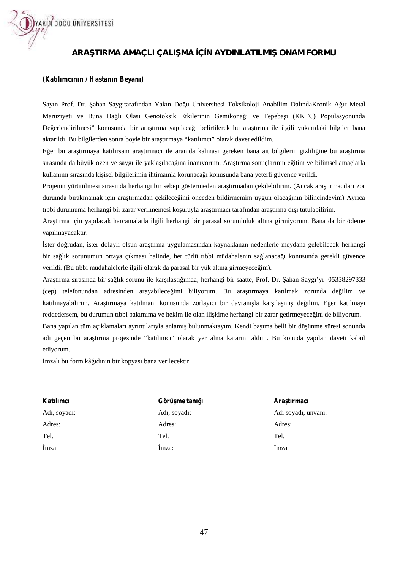

# ARA TIRMA AMAÇLI ÇALI MA ÇN AYDINLATILMI ONAM FORMU

### *(Katılımcının / Hastanın Beyanı)*

Sayın Prof. Dr. ahan Saygıtarafından Yakın Do u Üniversitesi Toksikoloji Anabilim DalındaKronik A ır Metal Maruziyeti ve Buna Ba lı Olası Genotoksik Etkilerinin Gemikona ı ve Tepeba ı (KKTC) Populasyonunda De erlendirilmesi" konusunda bir ara tırma yapılaca 1 belirtilerek bu ara tırma ile ilgili yukarıdaki bilgiler bana aktarıldı. Bu bilgilerden sonra böyle bir ara tırmaya "katılımcı" olarak davet edildim.

E er bu ara tırmaya katılırsam ara tırmacı ile aramda kalması gereken bana ait bilgilerin gizlili ine bu ara tırma sırasında da büyük özen ve saygı ile yakla ılaca ina inanıyorum. Ara tırma sonuçlarının e itim ve bilimsel amaçlarla kullanımı sırasında ki isel bilgilerimin ihtimamla korunaca 1 konusunda bana yeterli güvence verildi.

Projenin yürütülmesi sırasında herhangi bir sebep göstermeden ara tırmadan çekilebilirim. (Ancak ara tırmacıları zor durumda bırakmamak için ara tırmadan çekilece imi önceden bildirmemim uygun olaca ının bilincindeyim) Ayrıca tıbbi durumuma herhangi bir zarar verilmemesi ko uluyla ara tırmacı tarafından ara tırma dı ı tutulabilirim.

Araştırma için yapılacak harcamalarla ilgili herhangi bir parasal sorumluluk altına girmiyorum. Bana da bir ödeme yapılmayacaktır.

ster do rudan, ister dolaylı olsun ara tırma uygulamasından kaynaklanan nedenlerle meydana gelebilecek herhangi bir sa lık sorunumun ortaya çıkması halinde, her türlü tıbbi müdahalenin sa lanaca ı konusunda gerekli güvence verildi. (Bu tıbbi müdahalelerle ilgili olarak da parasal bir yük altına girmeyece im).

Ara tırma sırasında bir sa lık sorunu ile kar ıla tı ımda; herhangi bir saatte, Prof. Dr. ahan Saygı'yı 05338297333 (cep) telefonundan adresinden arayabilece imi biliyorum. Bu ara-tırmaya katılmak zorunda de ilim ve katılmayabilirim. Ara tırmaya katılmam konusunda zorlayıcı bir davranı la kar ıla mı de ilim. E er katılmayı reddedersem, bu durumun tıbbi bakımıma ve hekim ile olan ili kime herhangi bir zarar getirmeyece ini de biliyorum. Bana yapılan tüm açıklamaları ayrıntılarıyla anlamı bulunmaktayım. Kendi ba ıma belli bir dü ünme süresi sonunda adı geçen bu araştırma projesinde "katılımcı" olarak yer alma kararını aldım. Bu konuda yapılan daveti kabul Sayın Prof. Dr. ahan Saygıttarafından Yakın Do u Üniversitesi Toksikoloji Anabilim DalındaKronik A ır Metal<br>Maruziyeti ve Buna Ba lı Olası Genotokiki Eikilerinin Gemikona 1 ve Tepeha ı (KKTC) Populasyonunda<br>De erlendirilme ara tırma yapılaca i belirrilerek bu ara tırma ile ilgili yukarıdaki bilgiler bans<br>tırma tırmaya "katılımıc" olarak dave edidim,<br>tırmacı ile aramda kalması gereken bana ait bligilerin gizili ine bu ara tırma<br>tırmacı ile a

ediyorum.

mzalı bu form kâ ıdının bir kopyası bana verilecektir.

**Katılımcı** Adı, soyadı: Adres: Tel. İmza

Görü me tanı 1 Adı, soyadı: soyadı:Adres:  $Ta1$ İmza:

Ara tırmacı Adı soyadı, unvanı: Adres: Tel. İmza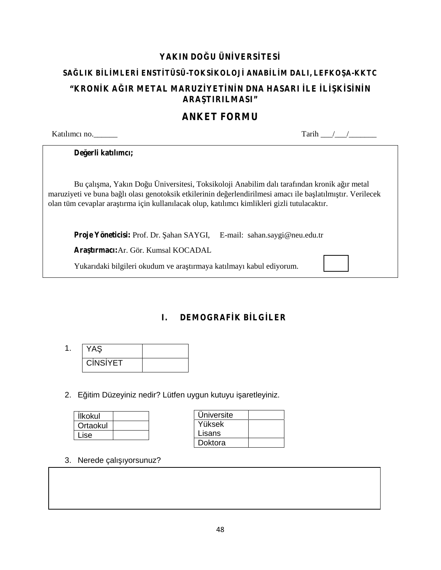# YAKIN DO U ÜN VERS TES SA LIK B L MLER ENST TÜSÜ-TOKS KOLOJ ANAB L M DALI, LEFKO A-KKTC **"KRON KA IR METAL MARUZ YET N N DNA HASARI LE L K S N N ARA TIRILMASI"**

# **ANKET FORMU**

| Katılımcı no.                                                                                | Tarih                                                                                                                                                                                                      |
|----------------------------------------------------------------------------------------------|------------------------------------------------------------------------------------------------------------------------------------------------------------------------------------------------------------|
| De erli katılımcı;                                                                           |                                                                                                                                                                                                            |
| olan tüm cevaplar ara tırma için kullanılacak olup, katılımcı kimlikleri gizli tutulacaktır. | Bu çalı ma, Yakın Do u Üniversitesi, Toksikoloji Anabilim dalı tarafından kronik a ır metal<br>maruziyeti ve buna ba lı olası genotoksik etkilerinin de erlendirilmesi amacı ile ba latılmı tır. Verilecek |
| <b>Proje Yöneticisi:</b> Prof. Dr. ahan SAYGI, E-mail: sahan.saygi@neu.edu.tr                |                                                                                                                                                                                                            |
| <b>Ara tirmaci:</b> Ar. Gör. Kumsal KOCADAL                                                  |                                                                                                                                                                                                            |
| Yukarıdaki bilgileri okudum ve ara tırmaya katılmayı kabul ediyorum.                         |                                                                                                                                                                                                            |

**I. DEMOGRAF K B LG LER** 

| ۰ |          |  |
|---|----------|--|
|   | C NS YET |  |

2. E itim Düzeyiniz nedir? Lütfen uygun kutuyu i aretleyiniz.

| Ikokul   |  |
|----------|--|
| Ortaokul |  |
| Lise     |  |

| Universite |  |
|------------|--|
| Yüksek     |  |
| Lisans     |  |
| Doktora    |  |

3. Nerede çalı iyorsunuz?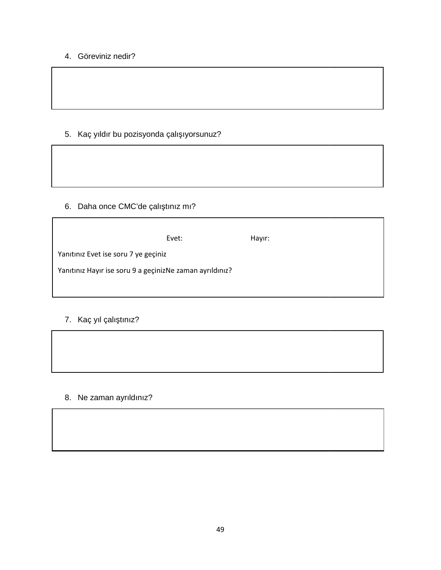# 4. Göreviniz nedir?

# 5. Kaç yıldır bu pozisyonda çalı ıyorsunuz? Göreviniz nedir?<br>Kaç yıldır bu pozisyonda çalı ıyor<br>Daha once CMC'de çalı tınız mı?

# 6. Daha once CMC'de çalı tınız mı?

|                                                          | Evet: | Hayır: |  |  |
|----------------------------------------------------------|-------|--------|--|--|
| Yanıtınız Evet ise soru 7 ye geçiniz                     |       |        |  |  |
| Yanıtınız Hayır ise soru 9 a geçinizNe zaman ayrıldınız? |       |        |  |  |

# 7. Kaç yıl çalı tınız?



# 8. Ne zaman ayrıldınız?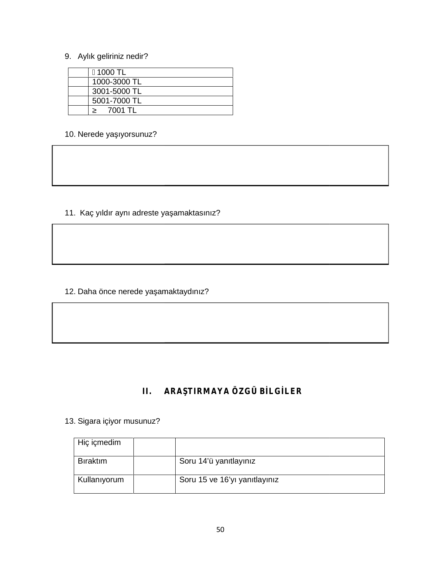# 9. Aylık geliriniz nedir?

| 1000 TL      |
|--------------|
| 1000-3000 TL |
| 3001-5000 TL |
| 5001-7000 TL |
| 7001 TL      |

10. Nerede ya ıyorsunuz?

11. Kaç yıldır aynı adreste ya amaktasınız?

12. Daha önce nerede ya amaktaydınız?

# **II. ARAŞTIRMAYA ÖZGÜ BİLGİLER**

# 13. Sigara içiyor musunuz?

| Hiç içmedim      |                               |
|------------------|-------------------------------|
| <b>B</b> iraktim | Soru 14'ü yanıtlayınız        |
| Kullanıyorum     | Soru 15 ve 16'yı yanıtlayınız |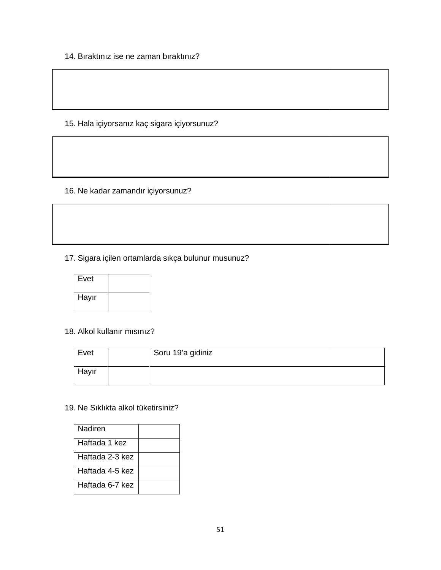14. Bıraktınız ise ne zaman bıraktınız?

15. Hala içiyorsanız kaç sigara içiyorsunuz?

16. Ne kadar zamandır içiyorsunuz?

17. Sigara içilen ortamlarda sıkça bulunur musunuz?



18. Alkol kullanır mısınız?

| Evet  | Soru 19'a gidiniz |
|-------|-------------------|
| Hayır |                   |

### 19. Ne Sıklıkta alkol tüketirsiniz?

| Nadiren         |  |
|-----------------|--|
| Haftada 1 kez   |  |
| Haftada 2-3 kez |  |
| Haftada 4-5 kez |  |
| Haftada 6-7 kez |  |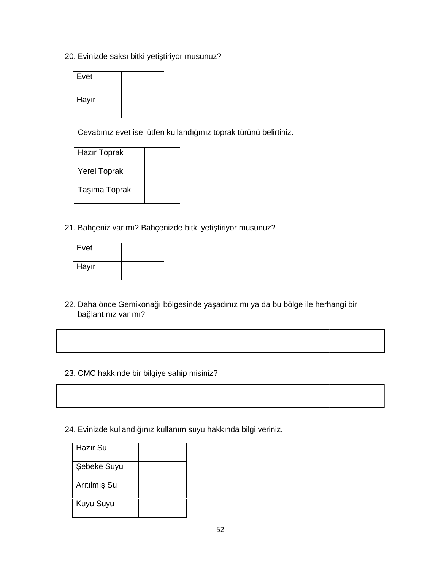20. Evinizde saksı bitki yeti tiriyor musunuz?

| ). Evinizde saksı bitki yeti tiriyor musunuz? |                                                                   |  |  |
|-----------------------------------------------|-------------------------------------------------------------------|--|--|
| Evet                                          |                                                                   |  |  |
| Hayır                                         |                                                                   |  |  |
|                                               | Cevabiniz evet ise lütfen kullandı iniz toprak türünü belirtiniz. |  |  |

| Hazır Toprak        |  |
|---------------------|--|
| <b>Yerel Toprak</b> |  |
| Ta ima Toprak       |  |

21. Bahçeniz var mı? Bahçenizde bitki yeti tiriyor musunuz?

| ∣ Evet                                           |  |  |
|--------------------------------------------------|--|--|
| Hayır                                            |  |  |
|                                                  |  |  |
| Daha önce Gemikona ı bölg<br>ba lantınız var mı? |  |  |

- 22. Daha önce Gemikona ı bölgesinde ya adınız mı ya da bu bölge ile herhangi bir ba lantınız var mı?
- 23. CMC hakkınde bir bilgiye sahip misiniz?
- 24. Evinizde kullandı ınız kullanım suyu hakkında bilgi veriniz.<br>|-<br>| Hazır Su

| Hazir Su    |  |
|-------------|--|
| ebeke Suyu  |  |
| Arıtılmı Su |  |
| Kuyu Suyu   |  |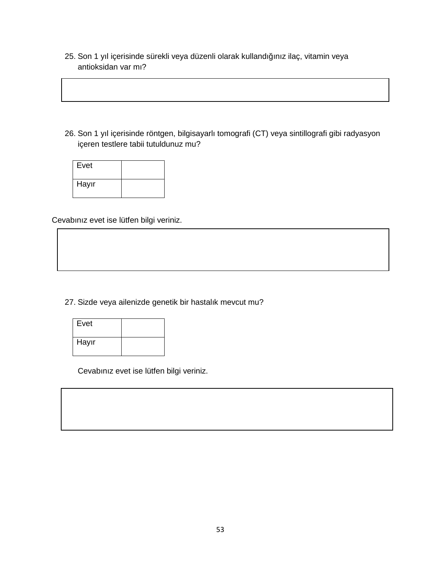25. Son 1 yıl içerisinde sürekli veya düzenli olarak kullandı ınız ilaç, vitamin veya antioksidan var mı?

26. Son 1 yıl içerisinde röntgen, bilgisayarlı tomografi (CT) veya sintillografi gibi radyasyon içeren testlere tabii tutuldunuz mu?

| Evet  |  |
|-------|--|
| Hayır |  |

Cevabınız evet ise lütfen bilgi veriniz.

27. Sizde veya ailenizde genetik bir hastalık mevcut mu?

| Evet  |  |
|-------|--|
| Hayır |  |

Cevabınız evet ise lütfen bilgi veriniz.